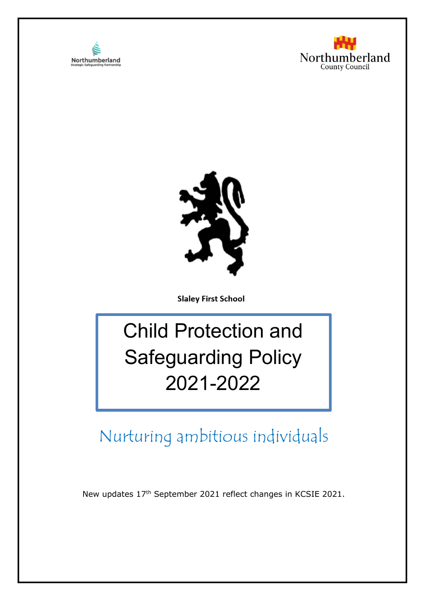





**Slaley First School** 

# Child Protection and Safeguarding Policy 2021-2022

## Nurturing ambitious individuals

New updates 17th September 2021 reflect changes in KCSIE 2021.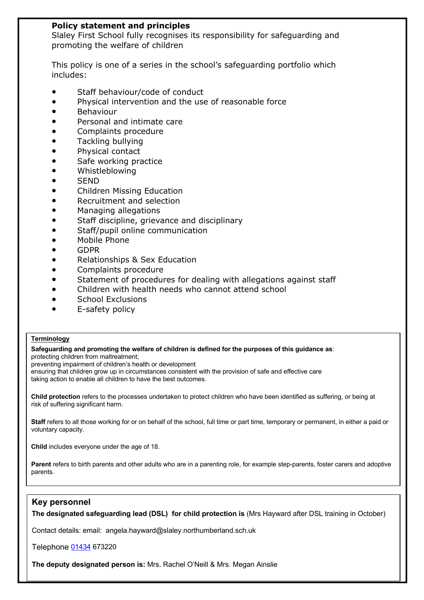#### **Policy statement and principles**

Slaley First School fully recognises its responsibility for safeguarding and promoting the welfare of children

This policy is one of a series in the school's safeguarding portfolio which includes:

- Staff behaviour/code of conduct
- Physical intervention and the use of reasonable force
- **Behaviour**
- Personal and intimate care
- Complaints procedure
- Tackling bullying
- Physical contact
- Safe working practice
- Whistleblowing
- **SEND**
- Children Missing Education
- Recruitment and selection
- Managing allegations
- Staff discipline, grievance and disciplinary
- Staff/pupil online communication
- Mobile Phone
- **GDPR**
- Relationships & Sex Education
- Complaints procedure
- Statement of procedures for dealing with allegations against staff
- Children with health needs who cannot attend school
- School Exclusions
- E-safety policy

#### **Terminology**

**Safeguarding and promoting the welfare of children is defined for the purposes of this guidance as**: protecting children from maltreatment;

preventing impairment of children's health or development

ensuring that children grow up in circumstances consistent with the provision of safe and effective care taking action to enable all children to have the best outcomes.

**Child protection** refers to the processes undertaken to protect children who have been identified as suffering, or being at risk of suffering significant harm.

**Staff** refers to all those working for or on behalf of the school, full time or part time, temporary or permanent, in either a paid or voluntary capacity.

**Child** includes everyone under the age of 18.

Parent refers to birth parents and other adults who are in a parenting role, for example step-parents, foster carers and adoptive parents.

#### **Key personnel**

**The designated safeguarding lead (DSL) for child protection is** (Mrs Hayward after DSL training in October)

Contact details: email: angela.hayward@slaley.northumberland.sch.uk

Telephone 01434 673220

**The deputy designated person is:** Mrs. Rachel O'Neill & Mrs. Megan Ainslie

 $\mathcal{L}^{\text{max}}$  details: Hyperlink "mailton" mail $\mathcal{L}^{\text{max}}$ .northumberland.sch.uk".northumberland.sch.uk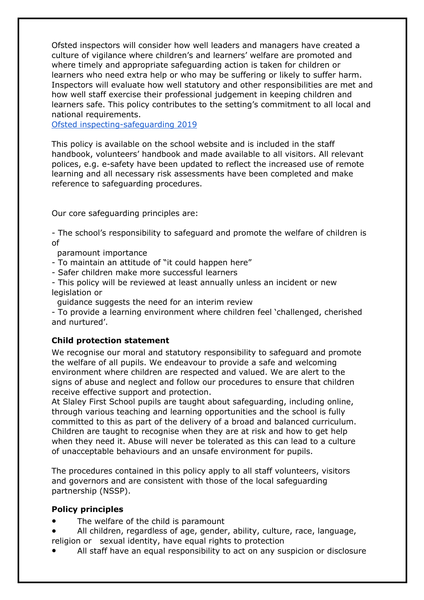Ofsted inspectors will consider how well leaders and managers have created a culture of vigilance where children's and learners' welfare are promoted and where timely and appropriate safeguarding action is taken for children or learners who need extra help or who may be suffering or likely to suffer harm. Inspectors will evaluate how well statutory and other responsibilities are met and how well staff exercise their professional judgement in keeping children and learners safe. This policy contributes to the setting's commitment to all local and national requirements.

Ofsted inspecting-safeguarding 2019

This policy is available on the school website and is included in the staff handbook, volunteers' handbook and made available to all visitors. All relevant polices, e.g. e-safety have been updated to reflect the increased use of remote learning and all necessary risk assessments have been completed and make reference to safeguarding procedures.

Our core safeguarding principles are:

- The school's responsibility to safeguard and promote the welfare of children is of

paramount importance

- To maintain an attitude of "it could happen here"
- Safer children make more successful learners

- This policy will be reviewed at least annually unless an incident or new legislation or

guidance suggests the need for an interim review

- To provide a learning environment where children feel 'challenged, cherished and nurtured'.

## **Child protection statement**

We recognise our moral and statutory responsibility to safeguard and promote the welfare of all pupils. We endeavour to provide a safe and welcoming environment where children are respected and valued. We are alert to the signs of abuse and neglect and follow our procedures to ensure that children receive effective support and protection.

At Slaley First School pupils are taught about safeguarding, including online, through various teaching and learning opportunities and the school is fully committed to this as part of the delivery of a broad and balanced curriculum. Children are taught to recognise when they are at risk and how to get help when they need it. Abuse will never be tolerated as this can lead to a culture of unacceptable behaviours and an unsafe environment for pupils.

The procedures contained in this policy apply to all staff volunteers, visitors and governors and are consistent with those of the local safeguarding partnership (NSSP).

## **Policy principles**

- The welfare of the child is paramount
- All children, regardless of age, gender, ability, culture, race, language, religion or sexual identity, have equal rights to protection
- All staff have an equal responsibility to act on any suspicion or disclosure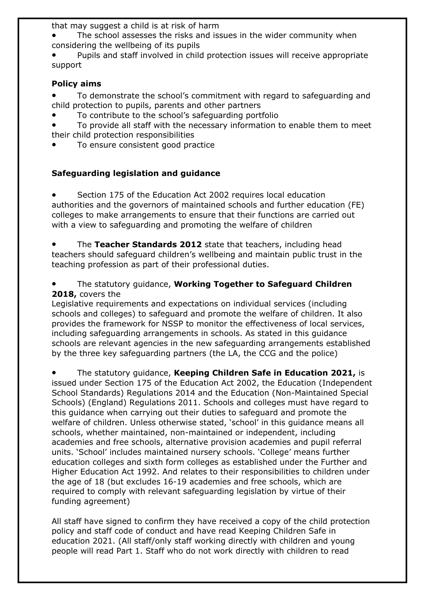that may suggest a child is at risk of harm

The school assesses the risks and issues in the wider community when considering the wellbeing of its pupils

Pupils and staff involved in child protection issues will receive appropriate support

## **Policy aims**

To demonstrate the school's commitment with regard to safeguarding and child protection to pupils, parents and other partners

- To contribute to the school's safeguarding portfolio
- To provide all staff with the necessary information to enable them to meet their child protection responsibilities
- To ensure consistent good practice

## **Safeguarding legislation and guidance**

Section 175 of the Education Act 2002 requires local education authorities and the governors of maintained schools and further education (FE) colleges to make arrangements to ensure that their functions are carried out with a view to safeguarding and promoting the welfare of children

The Teacher Standards 2012 state that teachers, including head teachers should safeguard children's wellbeing and maintain public trust in the teaching profession as part of their professional duties.

● The statutory guidance, **Working Together to Safeguard Children 2018,** covers the

Legislative requirements and expectations on individual services (including schools and colleges) to safeguard and promote the welfare of children. It also provides the framework for NSSP to monitor the effectiveness of local services, including safeguarding arrangements in schools. As stated in this guidance schools are relevant agencies in the new safeguarding arrangements established by the three key safeguarding partners (the LA, the CCG and the police)

● The statutory guidance, **Keeping Children Safe in Education 2021,** is issued under Section 175 of the Education Act 2002, the Education (Independent School Standards) Regulations 2014 and the Education (Non-Maintained Special Schools) (England) Regulations 2011. Schools and colleges must have regard to this guidance when carrying out their duties to safeguard and promote the welfare of children. Unless otherwise stated, 'school' in this guidance means all schools, whether maintained, non-maintained or independent, including academies and free schools, alternative provision academies and pupil referral units. 'School' includes maintained nursery schools. 'College' means further education colleges and sixth form colleges as established under the Further and Higher Education Act 1992. And relates to their responsibilities to children under the age of 18 (but excludes 16-19 academies and free schools, which are required to comply with relevant safeguarding legislation by virtue of their funding agreement)

All staff have signed to confirm they have received a copy of the child protection policy and staff code of conduct and have read Keeping Children Safe in education 2021. (All staff/only staff working directly with children and young people will read Part 1. Staff who do not work directly with children to read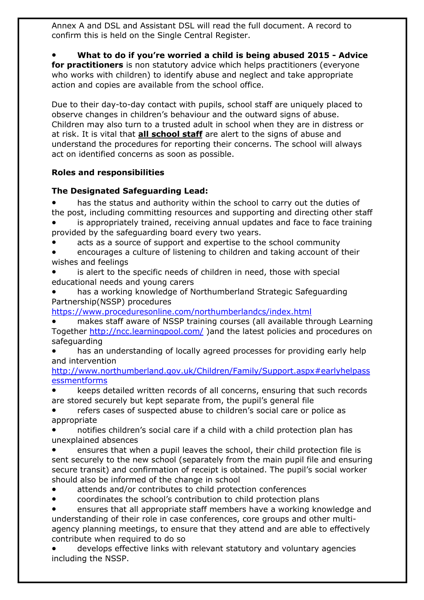Annex A and DSL and Assistant DSL will read the full document. A record to confirm this is held on the Single Central Register.

## ● **What to do if you're worried a child is being abused 2015 - Advice**

**for practitioners** is non statutory advice which helps practitioners (everyone who works with children) to identify abuse and neglect and take appropriate action and copies are available from the school office.

Due to their day-to-day contact with pupils, school staff are uniquely placed to observe changes in children's behaviour and the outward signs of abuse. Children may also turn to a trusted adult in school when they are in distress or at risk. It is vital that **all school staff** are alert to the signs of abuse and understand the procedures for reporting their concerns. The school will always act on identified concerns as soon as possible.

## **Roles and responsibilities**

## **The Designated Safeguarding Lead:**

has the status and authority within the school to carry out the duties of the post, including committing resources and supporting and directing other staff

is appropriately trained, receiving annual updates and face to face training provided by the safeguarding board every two years.

acts as a source of support and expertise to the school community

encourages a culture of listening to children and taking account of their wishes and feelings

is alert to the specific needs of children in need, those with special educational needs and young carers

has a working knowledge of Northumberland Strategic Safeguarding Partnership(NSSP) procedures

https://www.proceduresonline.com/northumberlandcs/index.html

● makes staff aware of NSSP training courses (all available through Learning Together http://ncc.learningpool.com/ )and the latest policies and procedures on safeguarding

has an understanding of locally agreed processes for providing early help and intervention

http://www.northumberland.gov.uk/Children/Family/Support.aspx#earlyhelpass essmentforms

keeps detailed written records of all concerns, ensuring that such records are stored securely but kept separate from, the pupil's general file

refers cases of suspected abuse to children's social care or police as appropriate

notifies children's social care if a child with a child protection plan has unexplained absences

ensures that when a pupil leaves the school, their child protection file is sent securely to the new school (separately from the main pupil file and ensuring secure transit) and confirmation of receipt is obtained. The pupil's social worker should also be informed of the change in school

- attends and/or contributes to child protection conferences
- coordinates the school's contribution to child protection plans

ensures that all appropriate staff members have a working knowledge and understanding of their role in case conferences, core groups and other multiagency planning meetings, to ensure that they attend and are able to effectively contribute when required to do so

develops effective links with relevant statutory and voluntary agencies including the NSSP.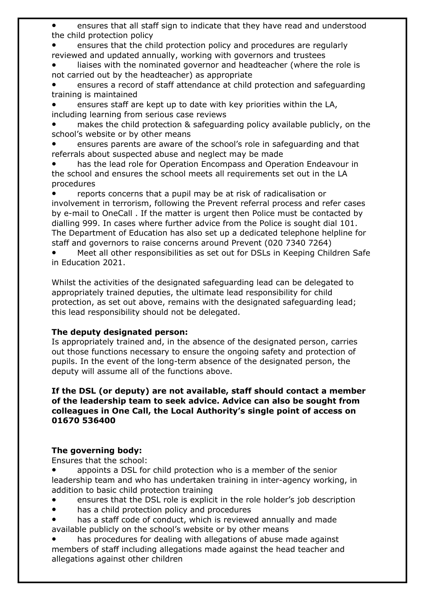● ensures that all staff sign to indicate that they have read and understood the child protection policy

ensures that the child protection policy and procedures are regularly reviewed and updated annually, working with governors and trustees

liaises with the nominated governor and headteacher (where the role is not carried out by the headteacher) as appropriate

ensures a record of staff attendance at child protection and safequarding training is maintained

ensures staff are kept up to date with key priorities within the LA, including learning from serious case reviews

makes the child protection & safeguarding policy available publicly, on the school's website or by other means

ensures parents are aware of the school's role in safeguarding and that referrals about suspected abuse and neglect may be made

has the lead role for Operation Encompass and Operation Endeavour in the school and ensures the school meets all requirements set out in the LA procedures

reports concerns that a pupil may be at risk of radicalisation or involvement in terrorism, following the Prevent referral process and refer cases by e-mail to OneCall . If the matter is urgent then Police must be contacted by dialling 999. In cases where further advice from the Police is sought dial 101. The Department of Education has also set up a dedicated telephone helpline for staff and governors to raise concerns around Prevent (020 7340 7264)

Meet all other responsibilities as set out for DSLs in Keeping Children Safe in Education 2021.

Whilst the activities of the designated safeguarding lead can be delegated to appropriately trained deputies, the ultimate lead responsibility for child protection, as set out above, remains with the designated safeguarding lead; this lead responsibility should not be delegated.

## **The deputy designated person:**

Is appropriately trained and, in the absence of the designated person, carries out those functions necessary to ensure the ongoing safety and protection of pupils. In the event of the long-term absence of the designated person, the deputy will assume all of the functions above.

## **If the DSL (or deputy) are not available, staff should contact a member of the leadership team to seek advice. Advice can also be sought from colleagues in One Call, the Local Authority's single point of access on 01670 536400**

## **The governing body:**

Ensures that the school:

appoints a DSL for child protection who is a member of the senior leadership team and who has undertaken training in inter-agency working, in addition to basic child protection training

- ensures that the DSL role is explicit in the role holder's job description
- has a child protection policy and procedures
- has a staff code of conduct, which is reviewed annually and made available publicly on the school's website or by other means

has procedures for dealing with allegations of abuse made against members of staff including allegations made against the head teacher and allegations against other children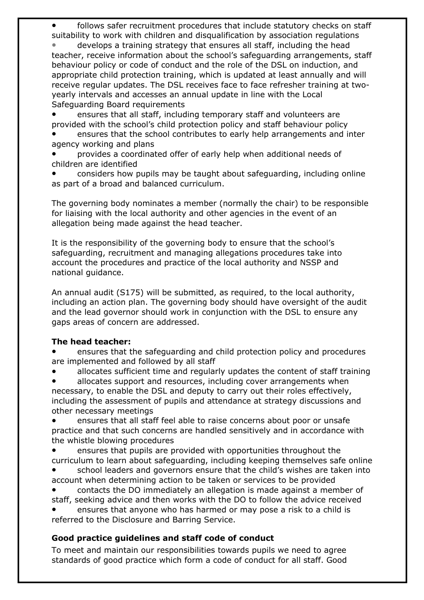● follows safer recruitment procedures that include statutory checks on staff suitability to work with children and disqualification by association regulations

develops a training strategy that ensures all staff, including the head teacher, receive information about the school's safeguarding arrangements, staff behaviour policy or code of conduct and the role of the DSL on induction, and appropriate child protection training, which is updated at least annually and will receive regular updates. The DSL receives face to face refresher training at twoyearly intervals and accesses an annual update in line with the Local Safeguarding Board requirements

ensures that all staff, including temporary staff and volunteers are provided with the school's child protection policy and staff behaviour policy

- ensures that the school contributes to early help arrangements and inter agency working and plans
- provides a coordinated offer of early help when additional needs of children are identified
- considers how pupils may be taught about safeguarding, including online as part of a broad and balanced curriculum.

The governing body nominates a member (normally the chair) to be responsible for liaising with the local authority and other agencies in the event of an allegation being made against the head teacher.

It is the responsibility of the governing body to ensure that the school's safeguarding, recruitment and managing allegations procedures take into account the procedures and practice of the local authority and NSSP and national guidance.

An annual audit (S175) will be submitted, as required, to the local authority, including an action plan. The governing body should have oversight of the audit and the lead governor should work in conjunction with the DSL to ensure any gaps areas of concern are addressed.

## **The head teacher:**

ensures that the safeguarding and child protection policy and procedures are implemented and followed by all staff

allocates sufficient time and regularly updates the content of staff training

allocates support and resources, including cover arrangements when necessary, to enable the DSL and deputy to carry out their roles effectively, including the assessment of pupils and attendance at strategy discussions and other necessary meetings

● ensures that all staff feel able to raise concerns about poor or unsafe practice and that such concerns are handled sensitively and in accordance with the whistle blowing procedures

ensures that pupils are provided with opportunities throughout the curriculum to learn about safeguarding, including keeping themselves safe online

school leaders and governors ensure that the child's wishes are taken into account when determining action to be taken or services to be provided

contacts the DO immediately an allegation is made against a member of staff, seeking advice and then works with the DO to follow the advice received

ensures that anyone who has harmed or may pose a risk to a child is referred to the Disclosure and Barring Service.

## **Good practice guidelines and staff code of conduct**

To meet and maintain our responsibilities towards pupils we need to agree standards of good practice which form a code of conduct for all staff. Good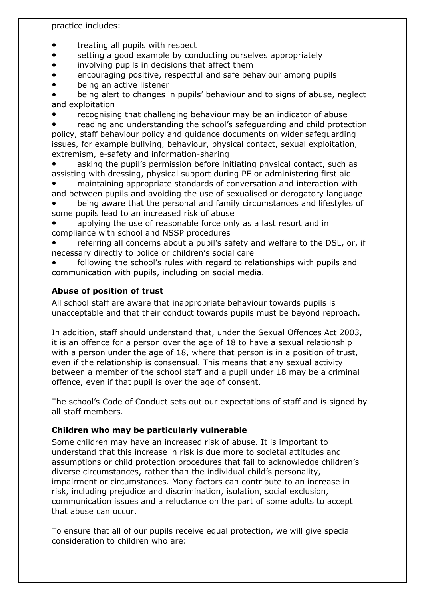practice includes:

- treating all pupils with respect
- setting a good example by conducting ourselves appropriately
- involving pupils in decisions that affect them
- encouraging positive, respectful and safe behaviour among pupils
- being an active listener

being alert to changes in pupils' behaviour and to signs of abuse, neglect and exploitation

recognising that challenging behaviour may be an indicator of abuse

reading and understanding the school's safeguarding and child protection policy, staff behaviour policy and guidance documents on wider safeguarding issues, for example bullying, behaviour, physical contact, sexual exploitation, extremism, e-safety and information-sharing

asking the pupil's permission before initiating physical contact, such as assisting with dressing, physical support during PE or administering first aid

maintaining appropriate standards of conversation and interaction with and between pupils and avoiding the use of sexualised or derogatory language

being aware that the personal and family circumstances and lifestyles of some pupils lead to an increased risk of abuse

applying the use of reasonable force only as a last resort and in compliance with school and NSSP procedures

referring all concerns about a pupil's safety and welfare to the DSL, or, if necessary directly to police or children's social care

following the school's rules with regard to relationships with pupils and communication with pupils, including on social media.

## **Abuse of position of trust**

All school staff are aware that inappropriate behaviour towards pupils is unacceptable and that their conduct towards pupils must be beyond reproach.

In addition, staff should understand that, under the Sexual Offences Act 2003, it is an offence for a person over the age of 18 to have a sexual relationship with a person under the age of 18, where that person is in a position of trust, even if the relationship is consensual. This means that any sexual activity between a member of the school staff and a pupil under 18 may be a criminal offence, even if that pupil is over the age of consent.

The school's Code of Conduct sets out our expectations of staff and is signed by all staff members.

## **Children who may be particularly vulnerable**

Some children may have an increased risk of abuse. It is important to understand that this increase in risk is due more to societal attitudes and assumptions or child protection procedures that fail to acknowledge children's diverse circumstances, rather than the individual child's personality, impairment or circumstances. Many factors can contribute to an increase in risk, including prejudice and discrimination, isolation, social exclusion, communication issues and a reluctance on the part of some adults to accept that abuse can occur.

To ensure that all of our pupils receive equal protection, we will give special consideration to children who are: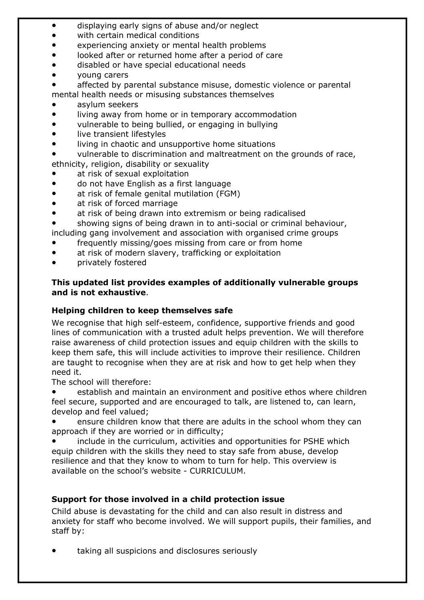- displaying early signs of abuse and/or neglect
- with certain medical conditions
- experiencing anxiety or mental health problems
- looked after or returned home after a period of care
- disabled or have special educational needs
- voung carers
- affected by parental substance misuse, domestic violence or parental
- mental health needs or misusing substances themselves
- asylum seekers
- living away from home or in temporary accommodation
- vulnerable to being bullied, or engaging in bullying
- live transient lifestyles
- living in chaotic and unsupportive home situations
- vulnerable to discrimination and maltreatment on the grounds of race, ethnicity, religion, disability or sexuality
- at risk of sexual exploitation
- do not have English as a first language
- at risk of female genital mutilation (FGM)
- at risk of forced marriage
- at risk of being drawn into extremism or being radicalised
- showing signs of being drawn in to anti-social or criminal behaviour,

including gang involvement and association with organised crime groups

- frequently missing/goes missing from care or from home
- at risk of modern slavery, trafficking or exploitation
- privately fostered

## **This updated list provides examples of additionally vulnerable groups and is not exhaustive**.

## **Helping children to keep themselves safe**

We recognise that high self-esteem, confidence, supportive friends and good lines of communication with a trusted adult helps prevention. We will therefore raise awareness of child protection issues and equip children with the skills to keep them safe, this will include activities to improve their resilience. Children are taught to recognise when they are at risk and how to get help when they need it.

The school will therefore:

establish and maintain an environment and positive ethos where children feel secure, supported and are encouraged to talk, are listened to, can learn, develop and feel valued;

ensure children know that there are adults in the school whom they can approach if they are worried or in difficulty;

include in the curriculum, activities and opportunities for PSHE which equip children with the skills they need to stay safe from abuse, develop resilience and that they know to whom to turn for help. This overview is available on the school's website - CURRICULUM.

## **Support for those involved in a child protection issue**

Child abuse is devastating for the child and can also result in distress and anxiety for staff who become involved. We will support pupils, their families, and staff by:

taking all suspicions and disclosures seriously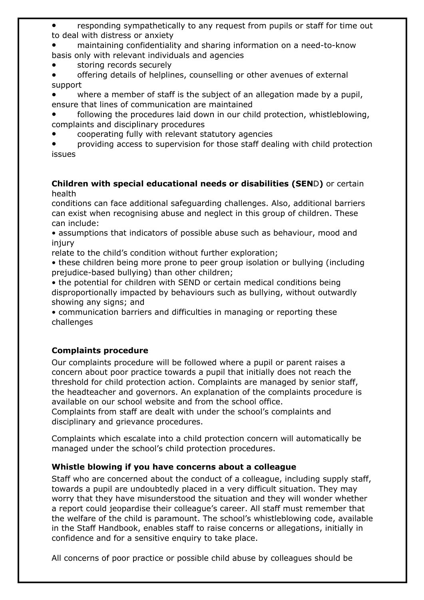● responding sympathetically to any request from pupils or staff for time out to deal with distress or anxiety

maintaining confidentiality and sharing information on a need-to-know basis only with relevant individuals and agencies

storing records securely

offering details of helplines, counselling or other avenues of external support

where a member of staff is the subject of an allegation made by a pupil, ensure that lines of communication are maintained

following the procedures laid down in our child protection, whistleblowing, complaints and disciplinary procedures

cooperating fully with relevant statutory agencies

providing access to supervision for those staff dealing with child protection issues

#### **Children with special educational needs or disabilities (SEN**D**)** or certain health

conditions can face additional safeguarding challenges. Also, additional barriers can exist when recognising abuse and neglect in this group of children. These can include:

• assumptions that indicators of possible abuse such as behaviour, mood and injury

relate to the child's condition without further exploration;

• these children being more prone to peer group isolation or bullying (including prejudice-based bullying) than other children;

• the potential for children with SEND or certain medical conditions being disproportionally impacted by behaviours such as bullying, without outwardly showing any signs; and

• communication barriers and difficulties in managing or reporting these challenges

## **Complaints procedure**

Our complaints procedure will be followed where a pupil or parent raises a concern about poor practice towards a pupil that initially does not reach the threshold for child protection action. Complaints are managed by senior staff, the headteacher and governors. An explanation of the complaints procedure is available on our school website and from the school office.

Complaints from staff are dealt with under the school's complaints and disciplinary and grievance procedures.

Complaints which escalate into a child protection concern will automatically be managed under the school's child protection procedures.

## **Whistle blowing if you have concerns about a colleague**

Staff who are concerned about the conduct of a colleague, including supply staff, towards a pupil are undoubtedly placed in a very difficult situation. They may worry that they have misunderstood the situation and they will wonder whether a report could jeopardise their colleague's career. All staff must remember that the welfare of the child is paramount. The school's whistleblowing code, available in the Staff Handbook, enables staff to raise concerns or allegations, initially in confidence and for a sensitive enquiry to take place.

All concerns of poor practice or possible child abuse by colleagues should be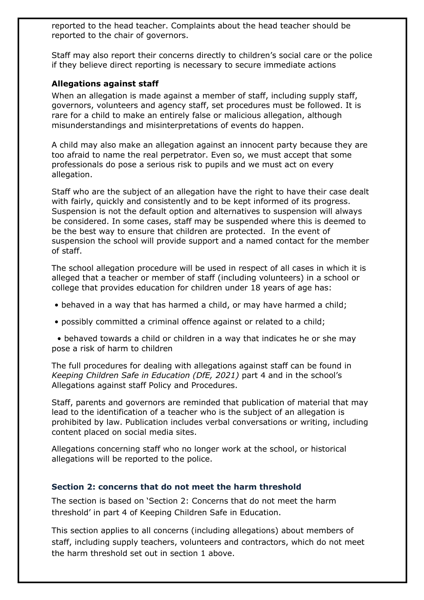reported to the head teacher. Complaints about the head teacher should be reported to the chair of governors.

Staff may also report their concerns directly to children's social care or the police if they believe direct reporting is necessary to secure immediate actions

## **Allegations against staff**

When an allegation is made against a member of staff, including supply staff, governors, volunteers and agency staff, set procedures must be followed. It is rare for a child to make an entirely false or malicious allegation, although misunderstandings and misinterpretations of events do happen.

A child may also make an allegation against an innocent party because they are too afraid to name the real perpetrator. Even so, we must accept that some professionals do pose a serious risk to pupils and we must act on every allegation.

Staff who are the subject of an allegation have the right to have their case dealt with fairly, quickly and consistently and to be kept informed of its progress. Suspension is not the default option and alternatives to suspension will always be considered. In some cases, staff may be suspended where this is deemed to be the best way to ensure that children are protected. In the event of suspension the school will provide support and a named contact for the member of staff.

The school allegation procedure will be used in respect of all cases in which it is alleged that a teacher or member of staff (including volunteers) in a school or college that provides education for children under 18 years of age has:

- behaved in a way that has harmed a child, or may have harmed a child;
- possibly committed a criminal offence against or related to a child;

 • behaved towards a child or children in a way that indicates he or she may pose a risk of harm to children

The full procedures for dealing with allegations against staff can be found in *Keeping Children Safe in Education (DfE, 2021)* part 4 and in the school's Allegations against staff Policy and Procedures.

Staff, parents and governors are reminded that publication of material that may lead to the identification of a teacher who is the subject of an allegation is prohibited by law. Publication includes verbal conversations or writing, including content placed on social media sites.

Allegations concerning staff who no longer work at the school, or historical allegations will be reported to the police.

## **Section 2: concerns that do not meet the harm threshold**

The section is based on 'Section 2: Concerns that do not meet the harm threshold' in part 4 of Keeping Children Safe in Education.

This section applies to all concerns (including allegations) about members of staff, including supply teachers, volunteers and contractors, which do not meet the harm threshold set out in section 1 above.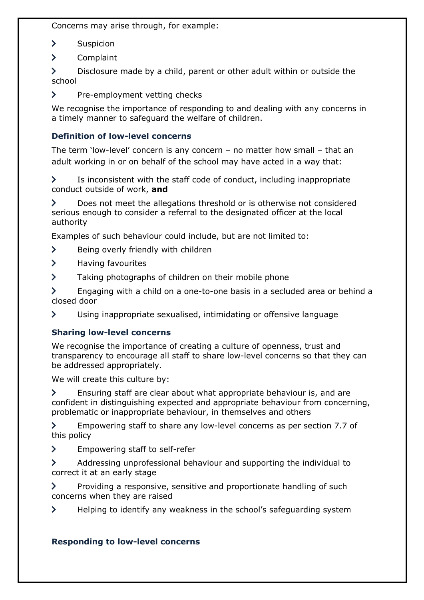Concerns may arise through, for example:

 $\sum_{i=1}^{n}$ Suspicion

 $\blacktriangleright$ Complaint

 $\sum$ Disclosure made by a child, parent or other adult within or outside the school

 $\blacktriangleright$ Pre-employment vetting checks

We recognise the importance of responding to and dealing with any concerns in a timely manner to safeguard the welfare of children.

## **Definition of low-level concerns**

The term 'low-level' concern is any concern – no matter how small – that an adult working in or on behalf of the school may have acted in a way that:

 $\sum$ Is inconsistent with the staff code of conduct, including inappropriate conduct outside of work, **and**

 $\sum$ Does not meet the allegations threshold or is otherwise not considered serious enough to consider a referral to the designated officer at the local authority

Examples of such behaviour could include, but are not limited to:

 $\blacktriangleright$ Being overly friendly with children

- $\overline{\phantom{0}}$ Having favourites
- $\sum_{i=1}^{n}$ Taking photographs of children on their mobile phone

 $\sum$ Engaging with a child on a one-to-one basis in a secluded area or behind a closed door

 $\sum$ Using inappropriate sexualised, intimidating or offensive language

## **Sharing low-level concerns**

We recognise the importance of creating a culture of openness, trust and transparency to encourage all staff to share low-level concerns so that they can be addressed appropriately.

We will create this culture by:

 $\sum$ Ensuring staff are clear about what appropriate behaviour is, and are confident in distinguishing expected and appropriate behaviour from concerning, problematic or inappropriate behaviour, in themselves and others

 $\blacktriangleright$ Empowering staff to share any low-level concerns as per section 7.7 of this policy

Empowering staff to self-refer  $\blacktriangleright$ 

 $\sum$ Addressing unprofessional behaviour and supporting the individual to correct it at an early stage

 $\sum$ Providing a responsive, sensitive and proportionate handling of such concerns when they are raised

 $\sum$ Helping to identify any weakness in the school's safeguarding system

## **Responding to low-level concerns**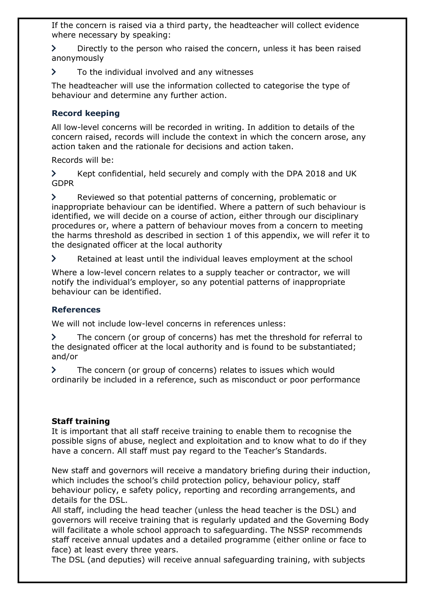If the concern is raised via a third party, the headteacher will collect evidence where necessary by speaking:

 $\blacktriangleright$ Directly to the person who raised the concern, unless it has been raised anonymously

To the individual involved and any witnesses  $\blacktriangleright$ 

The headteacher will use the information collected to categorise the type of behaviour and determine any further action.

## **Record keeping**

All low-level concerns will be recorded in writing. In addition to details of the concern raised, records will include the context in which the concern arose, any action taken and the rationale for decisions and action taken.

Records will be:

Kept confidential, held securely and comply with the DPA 2018 and UK  $\sum$ GDPR

 $\sum$ Reviewed so that potential patterns of concerning, problematic or inappropriate behaviour can be identified. Where a pattern of such behaviour is identified, we will decide on a course of action, either through our disciplinary procedures or, where a pattern of behaviour moves from a concern to meeting the harms threshold as described in section 1 of this appendix, we will refer it to the designated officer at the local authority

 $\blacktriangleright$ Retained at least until the individual leaves employment at the school

Where a low-level concern relates to a supply teacher or contractor, we will notify the individual's employer, so any potential patterns of inappropriate behaviour can be identified.

## **References**

We will not include low-level concerns in references unless:

 $\sum$ The concern (or group of concerns) has met the threshold for referral to the designated officer at the local authority and is found to be substantiated; and/or

 $\blacktriangleright$ The concern (or group of concerns) relates to issues which would ordinarily be included in a reference, such as misconduct or poor performance

## **Staff training**

It is important that all staff receive training to enable them to recognise the possible signs of abuse, neglect and exploitation and to know what to do if they have a concern. All staff must pay regard to the Teacher's Standards.

New staff and governors will receive a mandatory briefing during their induction, which includes the school's child protection policy, behaviour policy, staff behaviour policy, e safety policy, reporting and recording arrangements, and details for the DSL.

All staff, including the head teacher (unless the head teacher is the DSL) and governors will receive training that is regularly updated and the Governing Body will facilitate a whole school approach to safeguarding. The NSSP recommends staff receive annual updates and a detailed programme (either online or face to face) at least every three years.

The DSL (and deputies) will receive annual safeguarding training, with subjects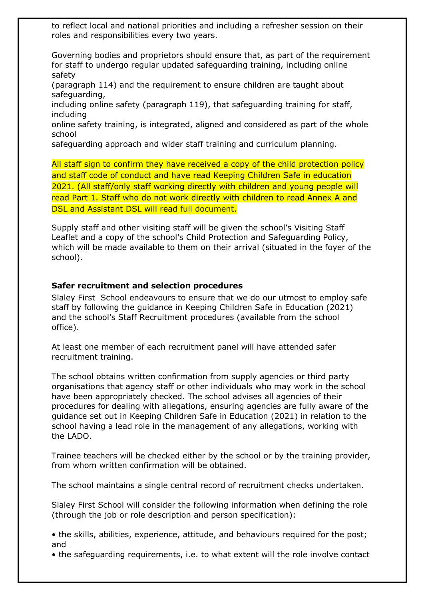to reflect local and national priorities and including a refresher session on their roles and responsibilities every two years.

Governing bodies and proprietors should ensure that, as part of the requirement for staff to undergo regular updated safeguarding training, including online safety

(paragraph 114) and the requirement to ensure children are taught about safeguarding,

including online safety (paragraph 119), that safeguarding training for staff, including

online safety training, is integrated, aligned and considered as part of the whole school

safeguarding approach and wider staff training and curriculum planning.

All staff sign to confirm they have received a copy of the child protection policy and staff code of conduct and have read Keeping Children Safe in education 2021. (All staff/only staff working directly with children and young people will read Part 1. Staff who do not work directly with children to read Annex A and DSL and Assistant DSL will read full document.

Supply staff and other visiting staff will be given the school's Visiting Staff Leaflet and a copy of the school's Child Protection and Safeguarding Policy, which will be made available to them on their arrival (situated in the foyer of the school).

## **Safer recruitment and selection procedures**

Slaley First School endeavours to ensure that we do our utmost to employ safe staff by following the guidance in Keeping Children Safe in Education (2021) and the school's Staff Recruitment procedures (available from the school office).

At least one member of each recruitment panel will have attended safer recruitment training.

The school obtains written confirmation from supply agencies or third party organisations that agency staff or other individuals who may work in the school have been appropriately checked. The school advises all agencies of their procedures for dealing with allegations, ensuring agencies are fully aware of the guidance set out in Keeping Children Safe in Education (2021) in relation to the school having a lead role in the management of any allegations, working with the LADO.

Trainee teachers will be checked either by the school or by the training provider, from whom written confirmation will be obtained.

The school maintains a single central record of recruitment checks undertaken.

Slaley First School will consider the following information when defining the role (through the job or role description and person specification):

• the skills, abilities, experience, attitude, and behaviours required for the post; and

• the safeguarding requirements, i.e. to what extent will the role involve contact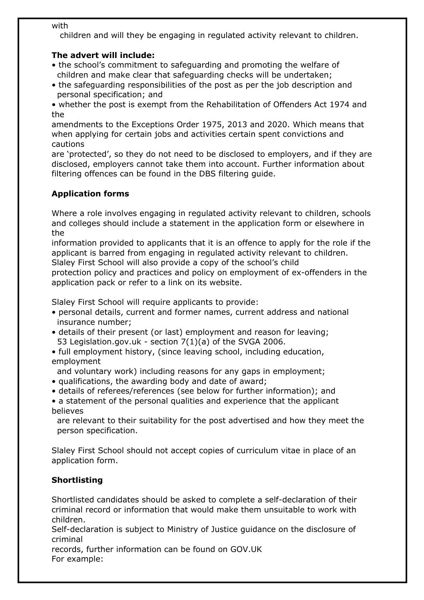with

children and will they be engaging in regulated activity relevant to children.

## **The advert will include:**

- the school's commitment to safeguarding and promoting the welfare of children and make clear that safeguarding checks will be undertaken;
- the safeguarding responsibilities of the post as per the job description and personal specification; and

• whether the post is exempt from the Rehabilitation of Offenders Act 1974 and the

amendments to the Exceptions Order 1975, 2013 and 2020. Which means that when applying for certain jobs and activities certain spent convictions and cautions

are 'protected', so they do not need to be disclosed to employers, and if they are disclosed, employers cannot take them into account. Further information about filtering offences can be found in the DBS filtering guide.

## **Application forms**

Where a role involves engaging in regulated activity relevant to children, schools and colleges should include a statement in the application form or elsewhere in the

information provided to applicants that it is an offence to apply for the role if the applicant is barred from engaging in regulated activity relevant to children. Slaley First School will also provide a copy of the school's child

protection policy and practices and policy on employment of ex-offenders in the application pack or refer to a link on its website.

Slaley First School will require applicants to provide:

- personal details, current and former names, current address and national insurance number;
- details of their present (or last) employment and reason for leaving; 53 Legislation.gov.uk - section 7(1)(a) of the SVGA 2006.
- full employment history, (since leaving school, including education, employment

and voluntary work) including reasons for any gaps in employment;

- qualifications, the awarding body and date of award;
- details of referees/references (see below for further information); and
- a statement of the personal qualities and experience that the applicant believes

 are relevant to their suitability for the post advertised and how they meet the person specification.

Slaley First School should not accept copies of curriculum vitae in place of an application form.

## **Shortlisting**

Shortlisted candidates should be asked to complete a self-declaration of their criminal record or information that would make them unsuitable to work with children.

Self-declaration is subject to Ministry of Justice guidance on the disclosure of criminal

records, further information can be found on GOV.UK For example: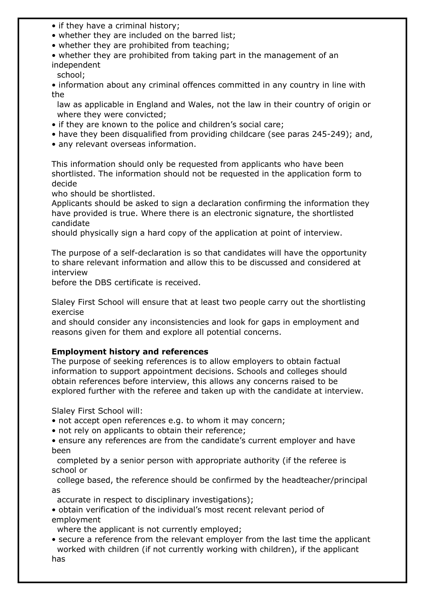- if they have a criminal history;
- whether they are included on the barred list;
- whether they are prohibited from teaching;
- whether they are prohibited from taking part in the management of an independent
	- school;

• information about any criminal offences committed in any country in line with the

 law as applicable in England and Wales, not the law in their country of origin or where they were convicted;

- if they are known to the police and children's social care;
- have they been disqualified from providing childcare (see paras 245-249); and,
- any relevant overseas information.

This information should only be requested from applicants who have been shortlisted. The information should not be requested in the application form to decide

who should be shortlisted.

Applicants should be asked to sign a declaration confirming the information they have provided is true. Where there is an electronic signature, the shortlisted candidate

should physically sign a hard copy of the application at point of interview.

The purpose of a self-declaration is so that candidates will have the opportunity to share relevant information and allow this to be discussed and considered at interview

before the DBS certificate is received.

Slaley First School will ensure that at least two people carry out the shortlisting exercise

and should consider any inconsistencies and look for gaps in employment and reasons given for them and explore all potential concerns.

## **Employment history and references**

The purpose of seeking references is to allow employers to obtain factual information to support appointment decisions. Schools and colleges should obtain references before interview, this allows any concerns raised to be explored further with the referee and taken up with the candidate at interview.

Slaley First School will:

• not accept open references e.g. to whom it may concern;

• not rely on applicants to obtain their reference;

• ensure any references are from the candidate's current employer and have been

 completed by a senior person with appropriate authority (if the referee is school or

 college based, the reference should be confirmed by the headteacher/principal as

accurate in respect to disciplinary investigations);

• obtain verification of the individual's most recent relevant period of employment

where the applicant is not currently employed;

• secure a reference from the relevant employer from the last time the applicant worked with children (if not currently working with children), if the applicant

has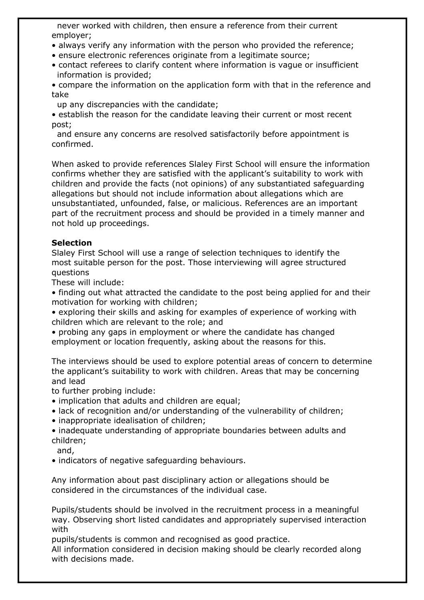never worked with children, then ensure a reference from their current employer;

- always verify any information with the person who provided the reference;
- ensure electronic references originate from a legitimate source;
- contact referees to clarify content where information is vague or insufficient information is provided;

• compare the information on the application form with that in the reference and take

up any discrepancies with the candidate;

• establish the reason for the candidate leaving their current or most recent post;

 and ensure any concerns are resolved satisfactorily before appointment is confirmed.

When asked to provide references Slaley First School will ensure the information confirms whether they are satisfied with the applicant's suitability to work with children and provide the facts (not opinions) of any substantiated safeguarding allegations but should not include information about allegations which are unsubstantiated, unfounded, false, or malicious. References are an important part of the recruitment process and should be provided in a timely manner and not hold up proceedings.

## **Selection**

Slaley First School will use a range of selection techniques to identify the most suitable person for the post. Those interviewing will agree structured questions

These will include:

• finding out what attracted the candidate to the post being applied for and their motivation for working with children;

• exploring their skills and asking for examples of experience of working with children which are relevant to the role; and

• probing any gaps in employment or where the candidate has changed employment or location frequently, asking about the reasons for this.

The interviews should be used to explore potential areas of concern to determine the applicant's suitability to work with children. Areas that may be concerning and lead

to further probing include:

- implication that adults and children are equal;
- lack of recognition and/or understanding of the vulnerability of children;
- inappropriate idealisation of children;
- inadequate understanding of appropriate boundaries between adults and children;

and,

• indicators of negative safeguarding behaviours.

Any information about past disciplinary action or allegations should be considered in the circumstances of the individual case.

Pupils/students should be involved in the recruitment process in a meaningful way. Observing short listed candidates and appropriately supervised interaction with

pupils/students is common and recognised as good practice.

All information considered in decision making should be clearly recorded along with decisions made.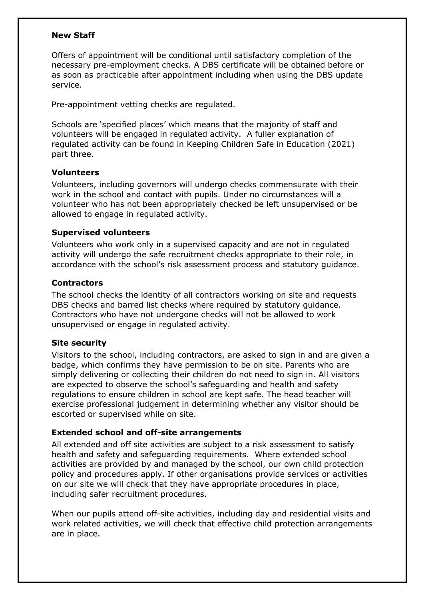#### **New Staff**

Offers of appointment will be conditional until satisfactory completion of the necessary pre-employment checks. A DBS certificate will be obtained before or as soon as practicable after appointment including when using the DBS update service.

Pre-appointment vetting checks are regulated.

Schools are 'specified places' which means that the majority of staff and volunteers will be engaged in regulated activity. A fuller explanation of regulated activity can be found in Keeping Children Safe in Education (2021) part three.

#### **Volunteers**

Volunteers, including governors will undergo checks commensurate with their work in the school and contact with pupils. Under no circumstances will a volunteer who has not been appropriately checked be left unsupervised or be allowed to engage in regulated activity.

## **Supervised volunteers**

Volunteers who work only in a supervised capacity and are not in regulated activity will undergo the safe recruitment checks appropriate to their role, in accordance with the school's risk assessment process and statutory guidance.

#### **Contractors**

The school checks the identity of all contractors working on site and requests DBS checks and barred list checks where required by statutory guidance. Contractors who have not undergone checks will not be allowed to work unsupervised or engage in regulated activity.

#### **Site security**

Visitors to the school, including contractors, are asked to sign in and are given a badge, which confirms they have permission to be on site. Parents who are simply delivering or collecting their children do not need to sign in. All visitors are expected to observe the school's safeguarding and health and safety regulations to ensure children in school are kept safe. The head teacher will exercise professional judgement in determining whether any visitor should be escorted or supervised while on site.

## **Extended school and off-site arrangements**

All extended and off site activities are subject to a risk assessment to satisfy health and safety and safeguarding requirements. Where extended school activities are provided by and managed by the school, our own child protection policy and procedures apply. If other organisations provide services or activities on our site we will check that they have appropriate procedures in place, including safer recruitment procedures.

When our pupils attend off-site activities, including day and residential visits and work related activities, we will check that effective child protection arrangements are in place.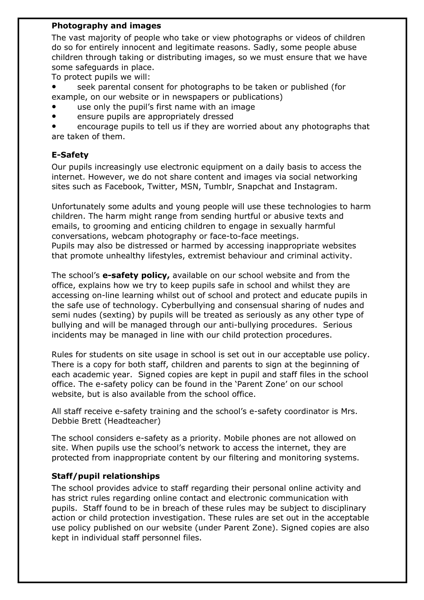## **Photography and images**

The vast majority of people who take or view photographs or videos of children do so for entirely innocent and legitimate reasons. Sadly, some people abuse children through taking or distributing images, so we must ensure that we have some safeguards in place.

To protect pupils we will:

seek parental consent for photographs to be taken or published (for example, on our website or in newspapers or publications)

- use only the pupil's first name with an image
- ensure pupils are appropriately dressed

encourage pupils to tell us if they are worried about any photographs that are taken of them.

## **E-Safety**

Our pupils increasingly use electronic equipment on a daily basis to access the internet. However, we do not share content and images via social networking sites such as Facebook, Twitter, MSN, Tumblr, Snapchat and Instagram.

Unfortunately some adults and young people will use these technologies to harm children. The harm might range from sending hurtful or abusive texts and emails, to grooming and enticing children to engage in sexually harmful conversations, webcam photography or face-to-face meetings. Pupils may also be distressed or harmed by accessing inappropriate websites that promote unhealthy lifestyles, extremist behaviour and criminal activity.

The school's **e-safety policy,** available on our school website and from the office, explains how we try to keep pupils safe in school and whilst they are accessing on-line learning whilst out of school and protect and educate pupils in the safe use of technology. Cyberbullying and consensual sharing of nudes and semi nudes (sexting) by pupils will be treated as seriously as any other type of bullying and will be managed through our anti-bullying procedures. Serious incidents may be managed in line with our child protection procedures.

Rules for students on site usage in school is set out in our acceptable use policy. There is a copy for both staff, children and parents to sign at the beginning of each academic year. Signed copies are kept in pupil and staff files in the school office. The e-safety policy can be found in the 'Parent Zone' on our school website, but is also available from the school office.

All staff receive e-safety training and the school's e-safety coordinator is Mrs. Debbie Brett (Headteacher)

The school considers e-safety as a priority. Mobile phones are not allowed on site. When pupils use the school's network to access the internet, they are protected from inappropriate content by our filtering and monitoring systems.

## **Staff/pupil relationships**

The school provides advice to staff regarding their personal online activity and has strict rules regarding online contact and electronic communication with pupils. Staff found to be in breach of these rules may be subject to disciplinary action or child protection investigation. These rules are set out in the acceptable use policy published on our website (under Parent Zone). Signed copies are also kept in individual staff personnel files.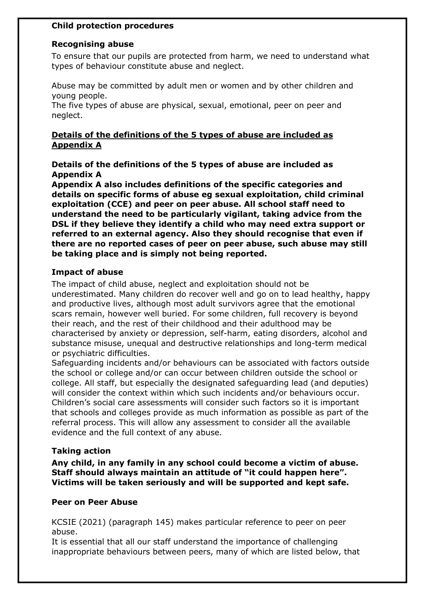#### **Child protection procedures**

#### **Recognising abuse**

To ensure that our pupils are protected from harm, we need to understand what types of behaviour constitute abuse and neglect.

Abuse may be committed by adult men or women and by other children and young people.

The five types of abuse are physical, sexual, emotional, peer on peer and neglect.

## **Details of the definitions of the 5 types of abuse are included as Appendix A**

## **Details of the definitions of the 5 types of abuse are included as Appendix A**

**Appendix A also includes definitions of the specific categories and details on specific forms of abuse eg sexual exploitation, child criminal exploitation (CCE) and peer on peer abuse. All school staff need to understand the need to be particularly vigilant, taking advice from the DSL if they believe they identify a child who may need extra support or referred to an external agency. Also they should recognise that even if there are no reported cases of peer on peer abuse, such abuse may still be taking place and is simply not being reported.**

## **Impact of abuse**

The impact of child abuse, neglect and exploitation should not be underestimated. Many children do recover well and go on to lead healthy, happy and productive lives, although most adult survivors agree that the emotional scars remain, however well buried. For some children, full recovery is beyond their reach, and the rest of their childhood and their adulthood may be characterised by anxiety or depression, self-harm, eating disorders, alcohol and substance misuse, unequal and destructive relationships and long-term medical or psychiatric difficulties.

Safeguarding incidents and/or behaviours can be associated with factors outside the school or college and/or can occur between children outside the school or college. All staff, but especially the designated safeguarding lead (and deputies) will consider the context within which such incidents and/or behaviours occur. Children's social care assessments will consider such factors so it is important that schools and colleges provide as much information as possible as part of the referral process. This will allow any assessment to consider all the available evidence and the full context of any abuse.

## **Taking action**

**Any child, in any family in any school could become a victim of abuse. Staff should always maintain an attitude of "it could happen here". Victims will be taken seriously and will be supported and kept safe.**

## **Peer on Peer Abuse**

KCSIE (2021) (paragraph 145) makes particular reference to peer on peer abuse.

It is essential that all our staff understand the importance of challenging inappropriate behaviours between peers, many of which are listed below, that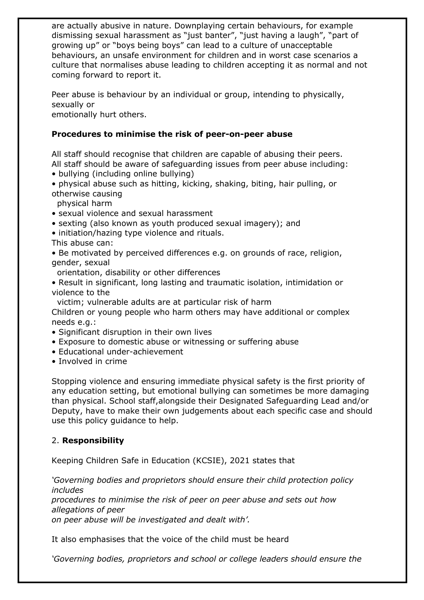are actually abusive in nature. Downplaying certain behaviours, for example dismissing sexual harassment as "just banter", "just having a laugh", "part of growing up" or "boys being boys" can lead to a culture of unacceptable behaviours, an unsafe environment for children and in worst case scenarios a culture that normalises abuse leading to children accepting it as normal and not coming forward to report it.

Peer abuse is behaviour by an individual or group, intending to physically, sexually or emotionally hurt others.

**Procedures to minimise the risk of peer-on-peer abuse**

All staff should recognise that children are capable of abusing their peers. All staff should be aware of safeguarding issues from peer abuse including:

• bullying (including online bullying)

• physical abuse such as hitting, kicking, shaking, biting, hair pulling, or otherwise causing

physical harm

- sexual violence and sexual harassment
- sexting (also known as youth produced sexual imagery); and
- initiation/hazing type violence and rituals.
- This abuse can:
- Be motivated by perceived differences e.g. on grounds of race, religion, gender, sexual
- orientation, disability or other differences
- Result in significant, long lasting and traumatic isolation, intimidation or violence to the

 victim; vulnerable adults are at particular risk of harm Children or young people who harm others may have additional or complex needs e.g.:

- Significant disruption in their own lives
- Exposure to domestic abuse or witnessing or suffering abuse
- Educational under-achievement
- Involved in crime

Stopping violence and ensuring immediate physical safety is the first priority of any education setting, but emotional bullying can sometimes be more damaging than physical. School staff,alongside their Designated Safeguarding Lead and/or Deputy, have to make their own judgements about each specific case and should use this policy guidance to help.

## 2. **Responsibility**

Keeping Children Safe in Education (KCSIE), 2021 states that

*'Governing bodies and proprietors should ensure their child protection policy includes procedures to minimise the risk of peer on peer abuse and sets out how allegations of peer*

*on peer abuse will be investigated and dealt with'.*

It also emphasises that the voice of the child must be heard

*'Governing bodies, proprietors and school or college leaders should ensure the*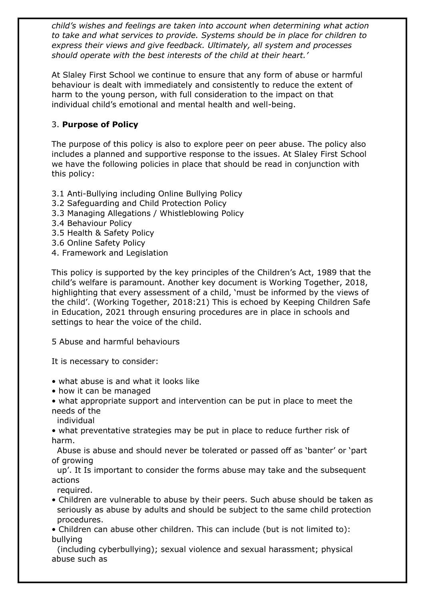*child's wishes and feelings are taken into account when determining what action to take and what services to provide. Systems should be in place for children to express their views and give feedback. Ultimately, all system and processes should operate with the best interests of the child at their heart.'*

At Slaley First School we continue to ensure that any form of abuse or harmful behaviour is dealt with immediately and consistently to reduce the extent of harm to the young person, with full consideration to the impact on that individual child's emotional and mental health and well-being.

## 3. **Purpose of Policy**

The purpose of this policy is also to explore peer on peer abuse. The policy also includes a planned and supportive response to the issues. At Slaley First School we have the following policies in place that should be read in conjunction with this policy:

- 3.1 Anti-Bullying including Online Bullying Policy
- 3.2 Safeguarding and Child Protection Policy
- 3.3 Managing Allegations / Whistleblowing Policy
- 3.4 Behaviour Policy
- 3.5 Health & Safety Policy
- 3.6 Online Safety Policy
- 4. Framework and Legislation

This policy is supported by the key principles of the Children's Act, 1989 that the child's welfare is paramount. Another key document is Working Together, 2018, highlighting that every assessment of a child, 'must be informed by the views of the child'. (Working Together, 2018:21) This is echoed by Keeping Children Safe in Education, 2021 through ensuring procedures are in place in schools and settings to hear the voice of the child.

5 Abuse and harmful behaviours

It is necessary to consider:

- what abuse is and what it looks like
- how it can be managed
- what appropriate support and intervention can be put in place to meet the needs of the

individual

• what preventative strategies may be put in place to reduce further risk of harm.

 Abuse is abuse and should never be tolerated or passed off as 'banter' or 'part of growing

 up'. It Is important to consider the forms abuse may take and the subsequent actions

required.

• Children are vulnerable to abuse by their peers. Such abuse should be taken as seriously as abuse by adults and should be subject to the same child protection procedures.

• Children can abuse other children. This can include (but is not limited to): bullying

 (including cyberbullying); sexual violence and sexual harassment; physical abuse such as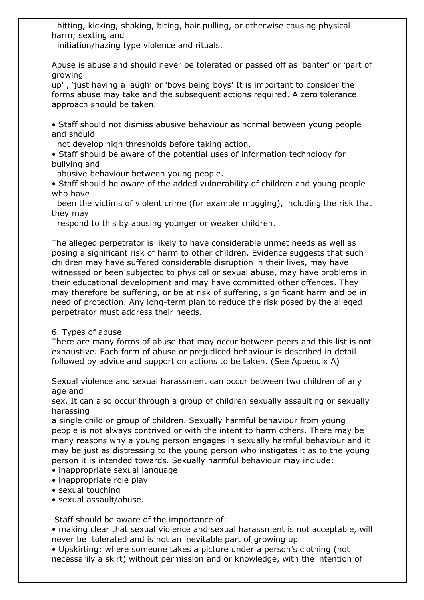hitting, kicking, shaking, biting, hair pulling, or otherwise causing physical harm; sexting and

initiation/hazing type violence and rituals.

Abuse is abuse and should never be tolerated or passed off as 'banter' or 'part of growing

up' , 'just having a laugh' or 'boys being boys' It is important to consider the forms abuse may take and the subsequent actions required. A zero tolerance approach should be taken.

• Staff should not dismiss abusive behaviour as normal between young people and should

not develop high thresholds before taking action.

• Staff should be aware of the potential uses of information technology for bullying and

abusive behaviour between young people.

• Staff should be aware of the added vulnerability of children and young people who have

 been the victims of violent crime (for example mugging), including the risk that they may

respond to this by abusing younger or weaker children.

The alleged perpetrator is likely to have considerable unmet needs as well as posing a significant risk of harm to other children. Evidence suggests that such children may have suffered considerable disruption in their lives, may have witnessed or been subjected to physical or sexual abuse, may have problems in their educational development and may have committed other offences. They may therefore be suffering, or be at risk of suffering, significant harm and be in need of protection. Any long-term plan to reduce the risk posed by the alleged perpetrator must address their needs.

## 6. Types of abuse

There are many forms of abuse that may occur between peers and this list is not exhaustive. Each form of abuse or prejudiced behaviour is described in detail followed by advice and support on actions to be taken. (See Appendix A)

Sexual violence and sexual harassment can occur between two children of any age and

sex. It can also occur through a group of children sexually assaulting or sexually harassing

a single child or group of children. Sexually harmful behaviour from young people is not always contrived or with the intent to harm others. There may be many reasons why a young person engages in sexually harmful behaviour and it may be just as distressing to the young person who instigates it as to the young person it is intended towards. Sexually harmful behaviour may include:

- inappropriate sexual language
- inappropriate role play
- sexual touching
- sexual assault/abuse.

Staff should be aware of the importance of:

• making clear that sexual violence and sexual harassment is not acceptable, will never be tolerated and is not an inevitable part of growing up

• Upskirting: where someone takes a picture under a person's clothing (not necessarily a skirt) without permission and or knowledge, with the intention of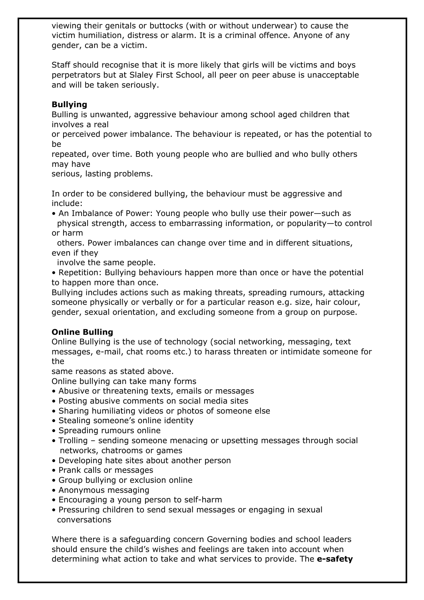viewing their genitals or buttocks (with or without underwear) to cause the victim humiliation, distress or alarm. It is a criminal offence. Anyone of any gender, can be a victim.

Staff should recognise that it is more likely that girls will be victims and boys perpetrators but at Slaley First School, all peer on peer abuse is unacceptable and will be taken seriously.

## **Bullying**

Bulling is unwanted, aggressive behaviour among school aged children that involves a real

or perceived power imbalance. The behaviour is repeated, or has the potential to be

repeated, over time. Both young people who are bullied and who bully others may have

serious, lasting problems.

In order to be considered bullying, the behaviour must be aggressive and include:

• An Imbalance of Power: Young people who bully use their power—such as physical strength, access to embarrassing information, or popularity—to control or harm

 others. Power imbalances can change over time and in different situations, even if they

involve the same people.

• Repetition: Bullying behaviours happen more than once or have the potential to happen more than once.

Bullying includes actions such as making threats, spreading rumours, attacking someone physically or verbally or for a particular reason e.g. size, hair colour, gender, sexual orientation, and excluding someone from a group on purpose.

## **Online Bulling**

Online Bullying is the use of technology (social networking, messaging, text messages, e-mail, chat rooms etc.) to harass threaten or intimidate someone for the

same reasons as stated above.

Online bullying can take many forms

- Abusive or threatening texts, emails or messages
- Posting abusive comments on social media sites
- Sharing humiliating videos or photos of someone else
- Stealing someone's online identity
- Spreading rumours online
- Trolling sending someone menacing or upsetting messages through social networks, chatrooms or games
- Developing hate sites about another person
- Prank calls or messages
- Group bullying or exclusion online
- Anonymous messaging
- Encouraging a young person to self-harm
- Pressuring children to send sexual messages or engaging in sexual conversations

Where there is a safeguarding concern Governing bodies and school leaders should ensure the child's wishes and feelings are taken into account when determining what action to take and what services to provide. The **e-safety**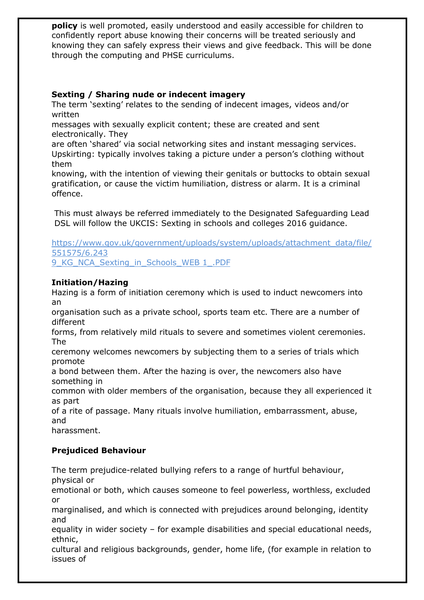**policy** is well promoted, easily understood and easily accessible for children to confidently report abuse knowing their concerns will be treated seriously and knowing they can safely express their views and give feedback. This will be done through the computing and PHSE curriculums.

## **Sexting / Sharing nude or indecent imagery**

The term 'sexting' relates to the sending of indecent images, videos and/or written

messages with sexually explicit content; these are created and sent electronically. They

are often 'shared' via social networking sites and instant messaging services. Upskirting: typically involves taking a picture under a person's clothing without them

knowing, with the intention of viewing their genitals or buttocks to obtain sexual gratification, or cause the victim humiliation, distress or alarm. It is a criminal offence.

This must always be referred immediately to the Designated Safeguarding Lead DSL will follow the UKCIS: Sexting in schools and colleges 2016 guidance.

https://www.gov.uk/government/uploads/system/uploads/attachment\_data/file/ 551575/6.243

9 KG NCA Sexting in Schools WEB 1 .PDF

## **Initiation/Hazing**

Hazing is a form of initiation ceremony which is used to induct newcomers into an

organisation such as a private school, sports team etc. There are a number of different

forms, from relatively mild rituals to severe and sometimes violent ceremonies. The

ceremony welcomes newcomers by subjecting them to a series of trials which promote

a bond between them. After the hazing is over, the newcomers also have something in

common with older members of the organisation, because they all experienced it as part

of a rite of passage. Many rituals involve humiliation, embarrassment, abuse, and

harassment.

## **Prejudiced Behaviour**

The term prejudice-related bullying refers to a range of hurtful behaviour, physical or

emotional or both, which causes someone to feel powerless, worthless, excluded or

marginalised, and which is connected with prejudices around belonging, identity and

equality in wider society – for example disabilities and special educational needs, ethnic,

cultural and religious backgrounds, gender, home life, (for example in relation to issues of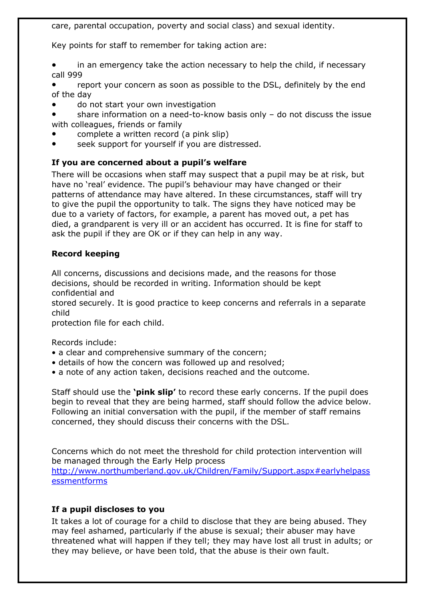care, parental occupation, poverty and social class) and sexual identity.

Key points for staff to remember for taking action are:

in an emergency take the action necessary to help the child, if necessary call 999

report your concern as soon as possible to the DSL, definitely by the end of the day

do not start your own investigation

share information on a need-to-know basis only  $-$  do not discuss the issue with colleagues, friends or family

- complete a written record (a pink slip)
- seek support for yourself if you are distressed.

## **If you are concerned about a pupil's welfare**

There will be occasions when staff may suspect that a pupil may be at risk, but have no 'real' evidence. The pupil's behaviour may have changed or their patterns of attendance may have altered. In these circumstances, staff will try to give the pupil the opportunity to talk. The signs they have noticed may be due to a variety of factors, for example, a parent has moved out, a pet has died, a grandparent is very ill or an accident has occurred. It is fine for staff to ask the pupil if they are OK or if they can help in any way.

## **Record keeping**

All concerns, discussions and decisions made, and the reasons for those decisions, should be recorded in writing. Information should be kept confidential and

stored securely. It is good practice to keep concerns and referrals in a separate child

protection file for each child.

Records include:

- a clear and comprehensive summary of the concern;
- details of how the concern was followed up and resolved;
- a note of any action taken, decisions reached and the outcome.

Staff should use the **'pink slip'** to record these early concerns. If the pupil does begin to reveal that they are being harmed, staff should follow the advice below. Following an initial conversation with the pupil, if the member of staff remains concerned, they should discuss their concerns with the DSL.

Concerns which do not meet the threshold for child protection intervention will be managed through the Early Help process

http://www.northumberland.gov.uk/Children/Family/Support.aspx#earlyhelpass essmentforms

## **If a pupil discloses to you**

It takes a lot of courage for a child to disclose that they are being abused. They may feel ashamed, particularly if the abuse is sexual; their abuser may have threatened what will happen if they tell; they may have lost all trust in adults; or they may believe, or have been told, that the abuse is their own fault.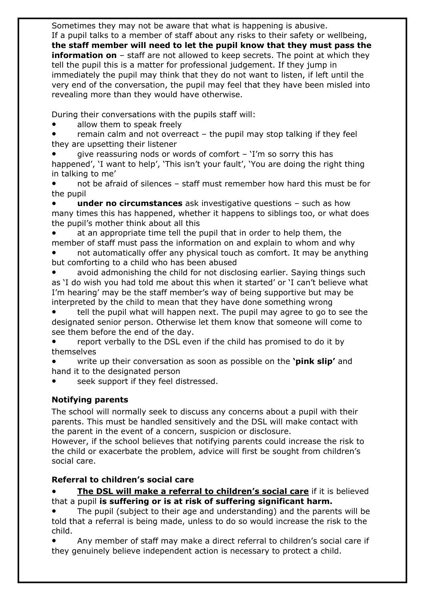Sometimes they may not be aware that what is happening is abusive. If a pupil talks to a member of staff about any risks to their safety or wellbeing, **the staff member will need to let the pupil know that they must pass the information on** – staff are not allowed to keep secrets. The point at which they tell the pupil this is a matter for professional judgement. If they jump in immediately the pupil may think that they do not want to listen, if left until the very end of the conversation, the pupil may feel that they have been misled into revealing more than they would have otherwise.

During their conversations with the pupils staff will:

- allow them to speak freely
- remain calm and not overreact the pupil may stop talking if they feel they are upsetting their listener

give reassuring nods or words of comfort – 'I'm so sorry this has happened', 'I want to help', 'This isn't your fault', 'You are doing the right thing in talking to me'

not be afraid of silences – staff must remember how hard this must be for the pupil

**under no circumstances** ask investigative questions – such as how many times this has happened, whether it happens to siblings too, or what does the pupil's mother think about all this

at an appropriate time tell the pupil that in order to help them, the member of staff must pass the information on and explain to whom and why

not automatically offer any physical touch as comfort. It may be anything but comforting to a child who has been abused

avoid admonishing the child for not disclosing earlier. Saying things such as 'I do wish you had told me about this when it started' or 'I can't believe what I'm hearing' may be the staff member's way of being supportive but may be interpreted by the child to mean that they have done something wrong

tell the pupil what will happen next. The pupil may agree to go to see the designated senior person. Otherwise let them know that someone will come to see them before the end of the day.

● report verbally to the DSL even if the child has promised to do it by themselves

write up their conversation as soon as possible on the **'pink slip'** and hand it to the designated person

seek support if they feel distressed.

## **Notifying parents**

The school will normally seek to discuss any concerns about a pupil with their parents. This must be handled sensitively and the DSL will make contact with the parent in the event of a concern, suspicion or disclosure.

However, if the school believes that notifying parents could increase the risk to the child or exacerbate the problem, advice will first be sought from children's social care.

## **Referral to children's social care**

**The DSL will make a referral to children's social care** if it is believed that a pupil **is suffering or is at risk of suffering significant harm.**

The pupil (subject to their age and understanding) and the parents will be told that a referral is being made, unless to do so would increase the risk to the child.

Any member of staff may make a direct referral to children's social care if they genuinely believe independent action is necessary to protect a child.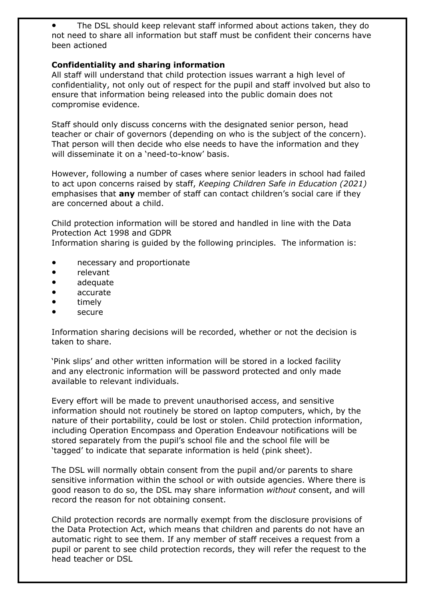The DSL should keep relevant staff informed about actions taken, they do not need to share all information but staff must be confident their concerns have been actioned

## **Confidentiality and sharing information**

All staff will understand that child protection issues warrant a high level of confidentiality, not only out of respect for the pupil and staff involved but also to ensure that information being released into the public domain does not compromise evidence.

Staff should only discuss concerns with the designated senior person, head teacher or chair of governors (depending on who is the subject of the concern). That person will then decide who else needs to have the information and they will disseminate it on a 'need-to-know' basis.

However, following a number of cases where senior leaders in school had failed to act upon concerns raised by staff, *Keeping Children Safe in Education (2021)* emphasises that **any** member of staff can contact children's social care if they are concerned about a child.

Child protection information will be stored and handled in line with the Data Protection Act 1998 and GDPR

Information sharing is guided by the following principles. The information is:

- necessary and proportionate
- relevant
- adequate
- accurate
- timely
- secure

Information sharing decisions will be recorded, whether or not the decision is taken to share.

'Pink slips' and other written information will be stored in a locked facility and any electronic information will be password protected and only made available to relevant individuals.

Every effort will be made to prevent unauthorised access, and sensitive information should not routinely be stored on laptop computers, which, by the nature of their portability, could be lost or stolen. Child protection information, including Operation Encompass and Operation Endeavour notifications will be stored separately from the pupil's school file and the school file will be 'tagged' to indicate that separate information is held (pink sheet).

The DSL will normally obtain consent from the pupil and/or parents to share sensitive information within the school or with outside agencies. Where there is good reason to do so, the DSL may share information *without* consent, and will record the reason for not obtaining consent.

Child protection records are normally exempt from the disclosure provisions of the Data Protection Act, which means that children and parents do not have an automatic right to see them. If any member of staff receives a request from a pupil or parent to see child protection records, they will refer the request to the head teacher or DSL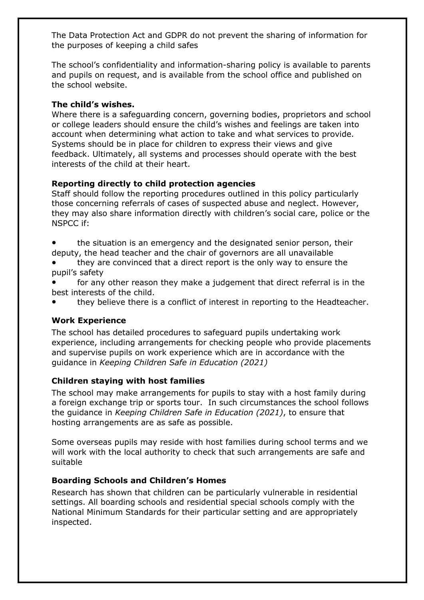The Data Protection Act and GDPR do not prevent the sharing of information for the purposes of keeping a child safes

The school's confidentiality and information-sharing policy is available to parents and pupils on request, and is available from the school office and published on the school website.

#### **The child's wishes.**

Where there is a safeguarding concern, governing bodies, proprietors and school or college leaders should ensure the child's wishes and feelings are taken into account when determining what action to take and what services to provide. Systems should be in place for children to express their views and give feedback. Ultimately, all systems and processes should operate with the best interests of the child at their heart.

## **Reporting directly to child protection agencies**

Staff should follow the reporting procedures outlined in this policy particularly those concerning referrals of cases of suspected abuse and neglect. However, they may also share information directly with children's social care, police or the NSPCC if:

- the situation is an emergency and the designated senior person, their deputy, the head teacher and the chair of governors are all unavailable
- they are convinced that a direct report is the only way to ensure the pupil's safety
- for any other reason they make a judgement that direct referral is in the best interests of the child.
- they believe there is a conflict of interest in reporting to the Headteacher.

## **Work Experience**

The school has detailed procedures to safeguard pupils undertaking work experience, including arrangements for checking people who provide placements and supervise pupils on work experience which are in accordance with the guidance in *Keeping Children Safe in Education (2021)* 

## **Children staying with host families**

The school may make arrangements for pupils to stay with a host family during a foreign exchange trip or sports tour. In such circumstances the school follows the guidance in *Keeping Children Safe in Education (2021)*, to ensure that hosting arrangements are as safe as possible.

Some overseas pupils may reside with host families during school terms and we will work with the local authority to check that such arrangements are safe and suitable

## **Boarding Schools and Children's Homes**

Research has shown that children can be particularly vulnerable in residential settings. All boarding schools and residential special schools comply with the National Minimum Standards for their particular setting and are appropriately inspected.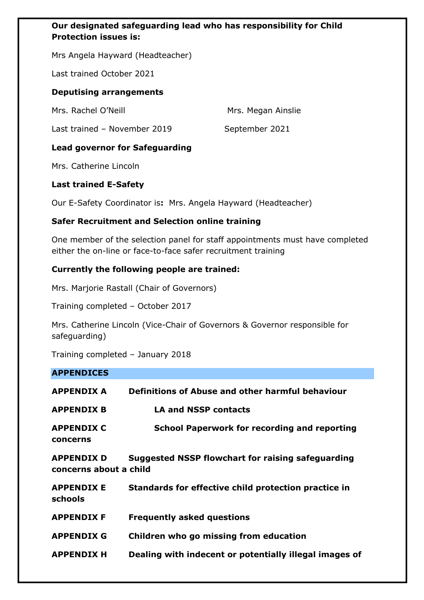## **Our designated safeguarding lead who has responsibility for Child Protection issues is:**

Mrs Angela Hayward (Headteacher)

Last trained October 2021

## **Deputising arrangements**

Mrs. Rachel O'Neill Mrs. Megan Ainslie

Last trained – November 2019 September 2021

## **Lead governor for Safeguarding**

Mrs. Catherine Lincoln

## **Last trained E-Safety**

Our E-Safety Coordinator is**:** Mrs. Angela Hayward (Headteacher)

## **Safer Recruitment and Selection online training**

One member of the selection panel for staff appointments must have completed either the on-line or face-to-face safer recruitment training

## **Currently the following people are trained:**

Mrs. Marjorie Rastall (Chair of Governors)

Training completed – October 2017

Mrs. Catherine Lincoln (Vice-Chair of Governors & Governor responsible for safeguarding)

Training completed – January 2018

## **APPENDICES**

| <b>APPENDIX A</b>                           | Definitions of Abuse and other harmful behaviour       |  |
|---------------------------------------------|--------------------------------------------------------|--|
| <b>APPENDIX B</b>                           | <b>LA and NSSP contacts</b>                            |  |
| <b>APPENDIX C</b><br>concerns               | <b>School Paperwork for recording and reporting</b>    |  |
| <b>APPENDIX D</b><br>concerns about a child | Suggested NSSP flowchart for raising safeguarding      |  |
| <b>APPENDIX E</b><br>schools                | Standards for effective child protection practice in   |  |
| <b>APPENDIX F</b>                           | <b>Frequently asked questions</b>                      |  |
| <b>APPENDIX G</b>                           | Children who go missing from education                 |  |
| <b>APPENDIX H</b>                           | Dealing with indecent or potentially illegal images of |  |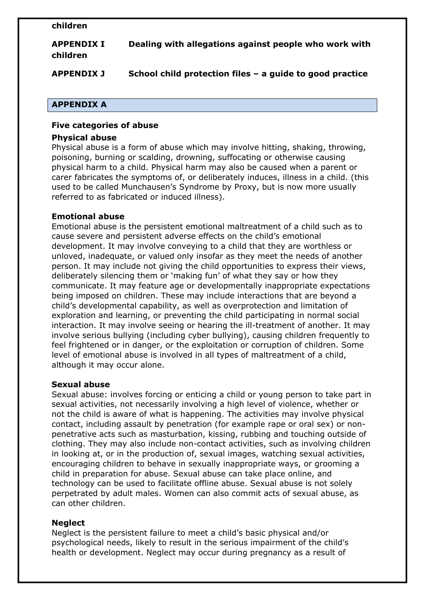#### **children**

## **APPENDIX I Dealing with allegations against people who work with children**

**APPENDIX J School child protection files – a guide to good practice**

#### **APPENDIX A**

#### **Five categories of abuse**

#### **Physical abuse**

Physical abuse is a form of abuse which may involve hitting, shaking, throwing, poisoning, burning or scalding, drowning, suffocating or otherwise causing physical harm to a child. Physical harm may also be caused when a parent or carer fabricates the symptoms of, or deliberately induces, illness in a child. (this used to be called Munchausen's Syndrome by Proxy, but is now more usually referred to as fabricated or induced illness).

#### **Emotional abuse**

Emotional abuse is the persistent emotional maltreatment of a child such as to cause severe and persistent adverse effects on the child's emotional development. It may involve conveying to a child that they are worthless or unloved, inadequate, or valued only insofar as they meet the needs of another person. It may include not giving the child opportunities to express their views, deliberately silencing them or 'making fun' of what they say or how they communicate. It may feature age or developmentally inappropriate expectations being imposed on children. These may include interactions that are beyond a child's developmental capability, as well as overprotection and limitation of exploration and learning, or preventing the child participating in normal social interaction. It may involve seeing or hearing the ill-treatment of another. It may involve serious bullying (including cyber bullying), causing children frequently to feel frightened or in danger, or the exploitation or corruption of children. Some level of emotional abuse is involved in all types of maltreatment of a child, although it may occur alone.

#### **Sexual abuse**

Sexual abuse: involves forcing or enticing a child or young person to take part in sexual activities, not necessarily involving a high level of violence, whether or not the child is aware of what is happening. The activities may involve physical contact, including assault by penetration (for example rape or oral sex) or nonpenetrative acts such as masturbation, kissing, rubbing and touching outside of clothing. They may also include non-contact activities, such as involving children in looking at, or in the production of, sexual images, watching sexual activities, encouraging children to behave in sexually inappropriate ways, or grooming a child in preparation for abuse. Sexual abuse can take place online, and technology can be used to facilitate offline abuse. Sexual abuse is not solely perpetrated by adult males. Women can also commit acts of sexual abuse, as can other children.

## **Neglect**

Neglect is the persistent failure to meet a child's basic physical and/or psychological needs, likely to result in the serious impairment of the child's health or development. Neglect may occur during pregnancy as a result of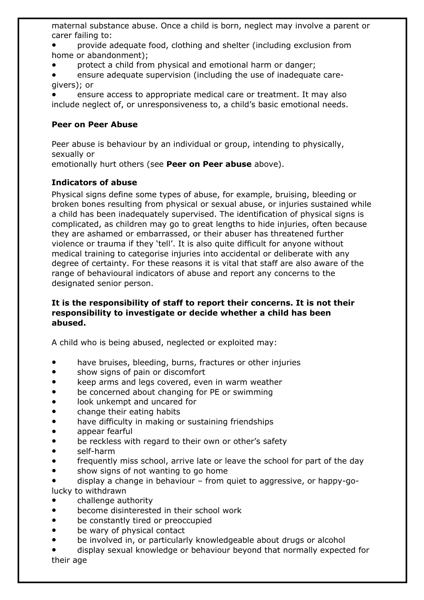maternal substance abuse. Once a child is born, neglect may involve a parent or carer failing to:

- provide adequate food, clothing and shelter (including exclusion from home or abandonment);
- protect a child from physical and emotional harm or danger;

ensure adequate supervision (including the use of inadequate caregivers); or

ensure access to appropriate medical care or treatment. It may also include neglect of, or unresponsiveness to, a child's basic emotional needs.

## **Peer on Peer Abuse**

Peer abuse is behaviour by an individual or group, intending to physically, sexually or

emotionally hurt others (see **Peer on Peer abuse** above).

## **Indicators of abuse**

Physical signs define some types of abuse, for example, bruising, bleeding or broken bones resulting from physical or sexual abuse, or injuries sustained while a child has been inadequately supervised. The identification of physical signs is complicated, as children may go to great lengths to hide injuries, often because they are ashamed or embarrassed, or their abuser has threatened further violence or trauma if they 'tell'. It is also quite difficult for anyone without medical training to categorise injuries into accidental or deliberate with any degree of certainty. For these reasons it is vital that staff are also aware of the range of behavioural indicators of abuse and report any concerns to the designated senior person.

## **It is the responsibility of staff to report their concerns. It is not their responsibility to investigate or decide whether a child has been abused.**

A child who is being abused, neglected or exploited may:

- have bruises, bleeding, burns, fractures or other injuries
- show signs of pain or discomfort
- keep arms and legs covered, even in warm weather
- be concerned about changing for PE or swimming
- look unkempt and uncared for
- change their eating habits
- have difficulty in making or sustaining friendships
- appear fearful
- be reckless with regard to their own or other's safety
- self-harm
- frequently miss school, arrive late or leave the school for part of the day
- show signs of not wanting to go home
- display a change in behaviour from quiet to aggressive, or happy-golucky to withdrawn
- challenge authority
- become disinterested in their school work
- be constantly tired or preoccupied
- be wary of physical contact
- be involved in, or particularly knowledgeable about drugs or alcohol
- display sexual knowledge or behaviour beyond that normally expected for their age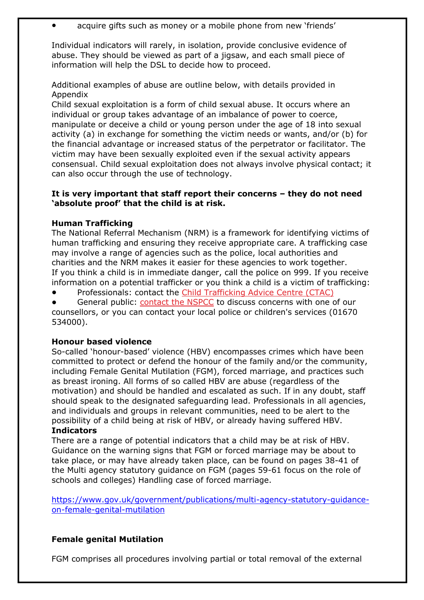● acquire gifts such as money or a mobile phone from new 'friends'

Individual indicators will rarely, in isolation, provide conclusive evidence of abuse. They should be viewed as part of a jigsaw, and each small piece of information will help the DSL to decide how to proceed.

Additional examples of abuse are outline below, with details provided in Appendix

Child sexual exploitation is a form of child sexual abuse. It occurs where an individual or group takes advantage of an imbalance of power to coerce, manipulate or deceive a child or young person under the age of 18 into sexual activity (a) in exchange for something the victim needs or wants, and/or (b) for the financial advantage or increased status of the perpetrator or facilitator. The victim may have been sexually exploited even if the sexual activity appears consensual. Child sexual exploitation does not always involve physical contact; it can also occur through the use of technology.

#### **It is very important that staff report their concerns – they do not need 'absolute proof' that the child is at risk.**

#### **Human Trafficking**

The National Referral Mechanism (NRM) is a framework for identifying victims of human trafficking and ensuring they receive appropriate care. A trafficking case may involve a range of agencies such as the police, local authorities and charities and the NRM makes it easier for these agencies to work together. If you think a child is in immediate danger, call the police on 999. If you receive information on a potential trafficker or you think a child is a victim of trafficking:

Professionals: contact the Child Trafficking Advice Centre (CTAC)

General public: contact the NSPCC to discuss concerns with one of our counsellors, or you can contact your local police or children's services (01670 534000).

#### **Honour based violence**

So-called 'honour-based' violence (HBV) encompasses crimes which have been committed to protect or defend the honour of the family and/or the community, including Female Genital Mutilation (FGM), forced marriage, and practices such as breast ironing. All forms of so called HBV are abuse (regardless of the motivation) and should be handled and escalated as such. If in any doubt, staff should speak to the designated safeguarding lead. Professionals in all agencies, and individuals and groups in relevant communities, need to be alert to the possibility of a child being at risk of HBV, or already having suffered HBV.

## **Indicators**

There are a range of potential indicators that a child may be at risk of HBV. Guidance on the warning signs that FGM or forced marriage may be about to take place, or may have already taken place, can be found on pages 38-41 of the Multi agency statutory guidance on FGM (pages 59-61 focus on the role of schools and colleges) Handling case of forced marriage.

https://www.gov.uk/government/publications/multi-agency-statutory-guidanceon-female-genital-mutilation

#### **Female genital Mutilation**

FGM comprises all procedures involving partial or total removal of the external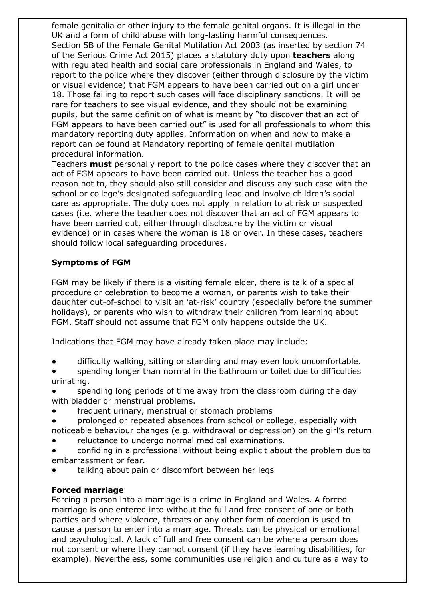female genitalia or other injury to the female genital organs. It is illegal in the UK and a form of child abuse with long-lasting harmful consequences. Section 5B of the Female Genital Mutilation Act 2003 (as inserted by section 74 of the Serious Crime Act 2015) places a statutory duty upon **teachers** along with regulated health and social care professionals in England and Wales, to report to the police where they discover (either through disclosure by the victim or visual evidence) that FGM appears to have been carried out on a girl under 18. Those failing to report such cases will face disciplinary sanctions. It will be rare for teachers to see visual evidence, and they should not be examining pupils, but the same definition of what is meant by "to discover that an act of FGM appears to have been carried out" is used for all professionals to whom this mandatory reporting duty applies. Information on when and how to make a report can be found at Mandatory reporting of female genital mutilation procedural information.

Teachers **must** personally report to the police cases where they discover that an act of FGM appears to have been carried out. Unless the teacher has a good reason not to, they should also still consider and discuss any such case with the school or college's designated safeguarding lead and involve children's social care as appropriate. The duty does not apply in relation to at risk or suspected cases (i.e. where the teacher does not discover that an act of FGM appears to have been carried out, either through disclosure by the victim or visual evidence) or in cases where the woman is 18 or over. In these cases, teachers should follow local safeguarding procedures.

## **Symptoms of FGM**

FGM may be likely if there is a visiting female elder, there is talk of a special procedure or celebration to become a woman, or parents wish to take their daughter out-of-school to visit an 'at-risk' country (especially before the summer holidays), or parents who wish to withdraw their children from learning about FGM. Staff should not assume that FGM only happens outside the UK.

Indications that FGM may have already taken place may include:

- difficulty walking, sitting or standing and may even look uncomfortable.
- spending longer than normal in the bathroom or toilet due to difficulties urinating.
- spending long periods of time away from the classroom during the day with bladder or menstrual problems.
- frequent urinary, menstrual or stomach problems
- prolonged or repeated absences from school or college, especially with
- noticeable behaviour changes (e.g. withdrawal or depression) on the girl's return reluctance to undergo normal medical examinations.
- confiding in a professional without being explicit about the problem due to
- embarrassment or fear.
- talking about pain or discomfort between her legs

## **Forced marriage**

Forcing a person into a marriage is a crime in England and Wales. A forced marriage is one entered into without the full and free consent of one or both parties and where violence, threats or any other form of coercion is used to cause a person to enter into a marriage. Threats can be physical or emotional and psychological. A lack of full and free consent can be where a person does not consent or where they cannot consent (if they have learning disabilities, for example). Nevertheless, some communities use religion and culture as a way to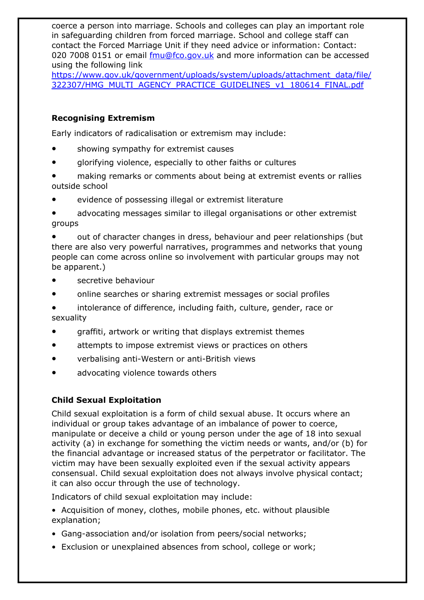coerce a person into marriage. Schools and colleges can play an important role in safeguarding children from forced marriage. School and college staff can contact the Forced Marriage Unit if they need advice or information: Contact: 020 7008 0151 or email fmu@fco.gov.uk and more information can be accessed using the following link

https://www.gov.uk/government/uploads/system/uploads/attachment\_data/file/ 322307/HMG\_MULTI\_AGENCY\_PRACTICE\_GUIDELINES\_v1\_180614\_FINAL.pdf

## **Recognising Extremism**

Early indicators of radicalisation or extremism may include:

- showing sympathy for extremist causes
- glorifying violence, especially to other faiths or cultures
- making remarks or comments about being at extremist events or rallies outside school
- evidence of possessing illegal or extremist literature

advocating messages similar to illegal organisations or other extremist groups

out of character changes in dress, behaviour and peer relationships (but there are also very powerful narratives, programmes and networks that young people can come across online so involvement with particular groups may not be apparent.)

- secretive behaviour
- online searches or sharing extremist messages or social profiles

● intolerance of difference, including faith, culture, gender, race or sexuality

- graffiti, artwork or writing that displays extremist themes
- attempts to impose extremist views or practices on others
- verbalising anti-Western or anti-British views
- advocating violence towards others

## **Child Sexual Exploitation**

Child sexual exploitation is a form of child sexual abuse. It occurs where an individual or group takes advantage of an imbalance of power to coerce, manipulate or deceive a child or young person under the age of 18 into sexual activity (a) in exchange for something the victim needs or wants, and/or (b) for the financial advantage or increased status of the perpetrator or facilitator. The victim may have been sexually exploited even if the sexual activity appears consensual. Child sexual exploitation does not always involve physical contact; it can also occur through the use of technology.

Indicators of child sexual exploitation may include:

• Acquisition of money, clothes, mobile phones, etc. without plausible explanation;

- Gang-association and/or isolation from peers/social networks;
- Exclusion or unexplained absences from school, college or work;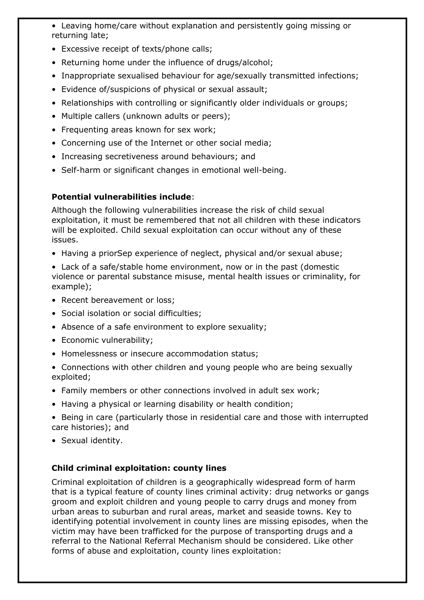• Leaving home/care without explanation and persistently going missing or returning late;

- Excessive receipt of texts/phone calls;
- Returning home under the influence of drugs/alcohol;
- Inappropriate sexualised behaviour for age/sexually transmitted infections;
- Evidence of/suspicions of physical or sexual assault;
- Relationships with controlling or significantly older individuals or groups;
- Multiple callers (unknown adults or peers);
- Frequenting areas known for sex work;
- Concerning use of the Internet or other social media;
- Increasing secretiveness around behaviours; and
- Self-harm or significant changes in emotional well-being.

## **Potential vulnerabilities include**:

Although the following vulnerabilities increase the risk of child sexual exploitation, it must be remembered that not all children with these indicators will be exploited. Child sexual exploitation can occur without any of these issues.

• Having a priorSep experience of neglect, physical and/or sexual abuse;

• Lack of a safe/stable home environment, now or in the past (domestic violence or parental substance misuse, mental health issues or criminality, for example);

- Recent bereavement or loss;
- Social isolation or social difficulties;
- Absence of a safe environment to explore sexuality;
- Economic vulnerability;
- Homelessness or insecure accommodation status;
- Connections with other children and young people who are being sexually exploited;
- Family members or other connections involved in adult sex work;
- Having a physical or learning disability or health condition;
- Being in care (particularly those in residential care and those with interrupted care histories); and
- Sexual identity.

## **Child criminal exploitation: county lines**

Criminal exploitation of children is a geographically widespread form of harm that is a typical feature of county lines criminal activity: drug networks or gangs groom and exploit children and young people to carry drugs and money from urban areas to suburban and rural areas, market and seaside towns. Key to identifying potential involvement in county lines are missing episodes, when the victim may have been trafficked for the purpose of transporting drugs and a referral to the National Referral Mechanism should be considered. Like other forms of abuse and exploitation, county lines exploitation: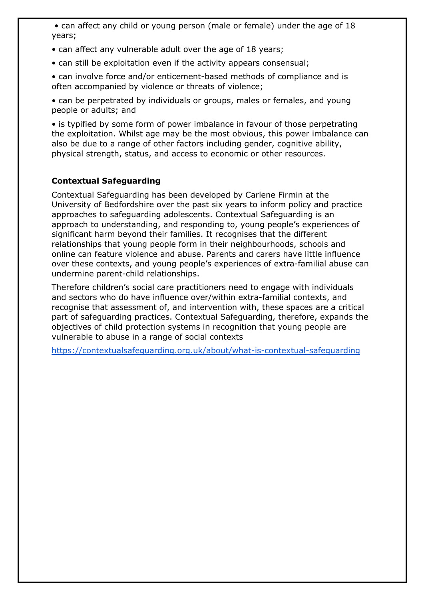• can affect any child or young person (male or female) under the age of 18 years;

- can affect any vulnerable adult over the age of 18 years;
- can still be exploitation even if the activity appears consensual;

• can involve force and/or enticement-based methods of compliance and is often accompanied by violence or threats of violence;

• can be perpetrated by individuals or groups, males or females, and young people or adults; and

• is typified by some form of power imbalance in favour of those perpetrating the exploitation. Whilst age may be the most obvious, this power imbalance can also be due to a range of other factors including gender, cognitive ability, physical strength, status, and access to economic or other resources.

## **Contextual Safeguarding**

Contextual Safeguarding has been developed by Carlene Firmin at the University of Bedfordshire over the past six years to inform policy and practice approaches to safeguarding adolescents. Contextual Safeguarding is an approach to understanding, and responding to, young people's experiences of significant harm beyond their families. It recognises that the different relationships that young people form in their neighbourhoods, schools and online can feature violence and abuse. Parents and carers have little influence over these contexts, and young people's experiences of extra-familial abuse can undermine parent-child relationships.

Therefore children's social care practitioners need to engage with individuals and sectors who do have influence over/within extra-familial contexts, and recognise that assessment of, and intervention with, these spaces are a critical part of safeguarding practices. Contextual Safeguarding, therefore, expands the objectives of child protection systems in recognition that young people are vulnerable to abuse in a range of social contexts

https://contextualsafeguarding.org.uk/about/what-is-contextual-safeguarding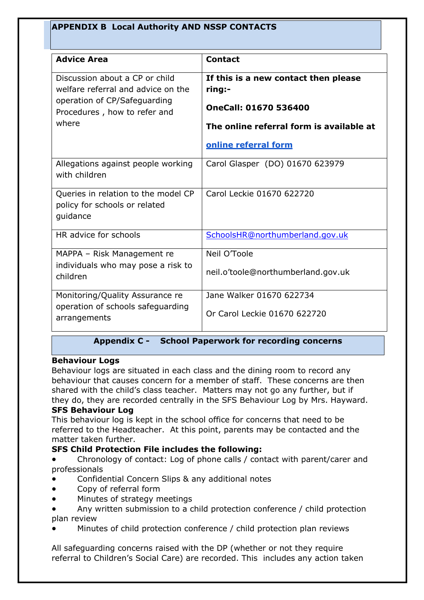## **APPENDIX B Local Authority AND NSSP CONTACTS**

| <b>Advice Area</b>                                                                                                                            | <b>Contact</b>                                                                                                                                     |  |
|-----------------------------------------------------------------------------------------------------------------------------------------------|----------------------------------------------------------------------------------------------------------------------------------------------------|--|
| Discussion about a CP or child<br>welfare referral and advice on the<br>operation of CP/Safeguarding<br>Procedures, how to refer and<br>where | If this is a new contact then please<br>ring:-<br><b>OneCall: 01670 536400</b><br>The online referral form is available at<br>online referral form |  |
| Allegations against people working<br>with children                                                                                           | Carol Glasper (DO) 01670 623979                                                                                                                    |  |
| Queries in relation to the model CP<br>policy for schools or related<br>guidance                                                              | Carol Leckie 01670 622720                                                                                                                          |  |
| HR advice for schools                                                                                                                         | SchoolsHR@northumberland.gov.uk                                                                                                                    |  |
| MAPPA - Risk Management re<br>individuals who may pose a risk to<br>children                                                                  | Neil O'Toole<br>neil.o'toole@northumberland.gov.uk                                                                                                 |  |
| Monitoring/Quality Assurance re<br>operation of schools safeguarding<br>arrangements                                                          | Jane Walker 01670 622734<br>Or Carol Leckie 01670 622720                                                                                           |  |

**Appendix C - School Paperwork for recording concerns** 

## **Behaviour Logs**

Behaviour logs are situated in each class and the dining room to record any behaviour that causes concern for a member of staff. These concerns are then shared with the child's class teacher. Matters may not go any further, but if they do, they are recorded centrally in the SFS Behaviour Log by Mrs. Hayward.

## **SFS Behaviour Log**

This behaviour log is kept in the school office for concerns that need to be referred to the Headteacher. At this point, parents may be contacted and the matter taken further.

## **SFS Child Protection File includes the following:**

Chronology of contact: Log of phone calls / contact with parent/carer and professionals

- Confidential Concern Slips & any additional notes
- Copy of referral form
- Minutes of strategy meetings
- Any written submission to a child protection conference / child protection plan review
- Minutes of child protection conference / child protection plan reviews

All safeguarding concerns raised with the DP (whether or not they require referral to Children's Social Care) are recorded. This includes any action taken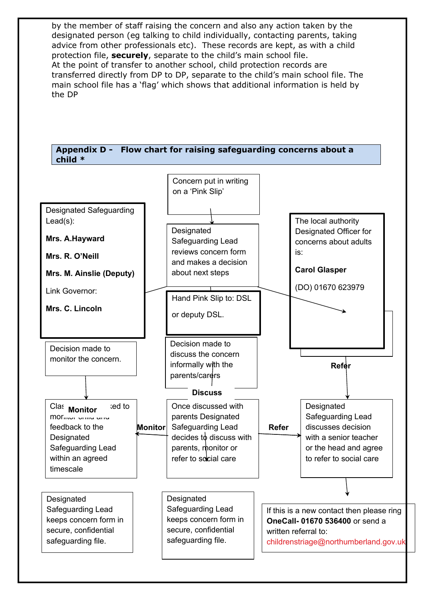by the member of staff raising the concern and also any action taken by the designated person (eg talking to child individually, contacting parents, taking advice from other professionals etc). These records are kept, as with a child protection file, **securely**, separate to the child's main school file. At the point of transfer to another school, child protection records are transferred directly from DP to DP, separate to the child's main school file. The main school file has a 'flag' which shows that additional information is held by the DP

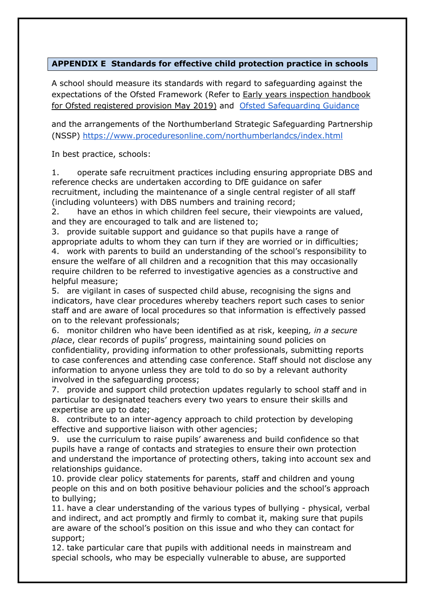## **APPENDIX E Standards for effective child protection practice in schools**

A school should measure its standards with regard to safeguarding against the expectations of the Ofsted Framework (Refer to Early years inspection handbook for Ofsted registered provision May 2019) and Ofsted Safeguarding Guidance

and the arrangements of the Northumberland Strategic Safeguarding Partnership (NSSP) https://www.proceduresonline.com/northumberlandcs/index.html

In best practice, schools:

1. operate safe recruitment practices including ensuring appropriate DBS and reference checks are undertaken according to DfE guidance on safer recruitment, including the maintenance of a single central register of all staff (including volunteers) with DBS numbers and training record;

2. have an ethos in which children feel secure, their viewpoints are valued, and they are encouraged to talk and are listened to;

3. provide suitable support and guidance so that pupils have a range of appropriate adults to whom they can turn if they are worried or in difficulties; 4. work with parents to build an understanding of the school's responsibility to ensure the welfare of all children and a recognition that this may occasionally require children to be referred to investigative agencies as a constructive and helpful measure;

5. are vigilant in cases of suspected child abuse, recognising the signs and indicators, have clear procedures whereby teachers report such cases to senior staff and are aware of local procedures so that information is effectively passed on to the relevant professionals;

6. monitor children who have been identified as at risk, keeping*, in a secure place*, clear records of pupils' progress, maintaining sound policies on confidentiality, providing information to other professionals, submitting reports to case conferences and attending case conference. Staff should not disclose any information to anyone unless they are told to do so by a relevant authority involved in the safeguarding process;

7. provide and support child protection updates regularly to school staff and in particular to designated teachers every two years to ensure their skills and expertise are up to date;

8. contribute to an inter-agency approach to child protection by developing effective and supportive liaison with other agencies;

9. use the curriculum to raise pupils' awareness and build confidence so that pupils have a range of contacts and strategies to ensure their own protection and understand the importance of protecting others, taking into account sex and relationships guidance.

10. provide clear policy statements for parents, staff and children and young people on this and on both positive behaviour policies and the school's approach to bullying;

11. have a clear understanding of the various types of bullying - physical, verbal and indirect, and act promptly and firmly to combat it, making sure that pupils are aware of the school's position on this issue and who they can contact for support;

12. take particular care that pupils with additional needs in mainstream and special schools, who may be especially vulnerable to abuse, are supported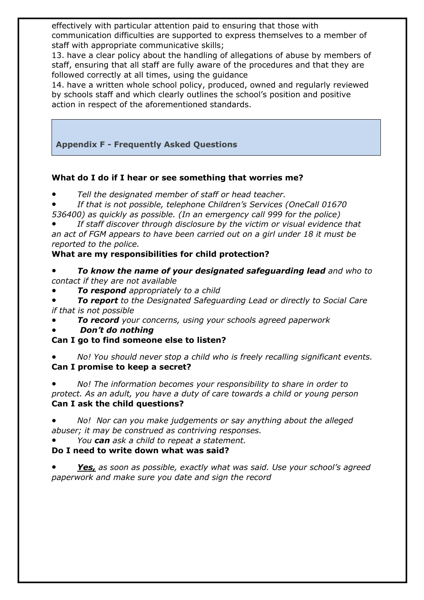effectively with particular attention paid to ensuring that those with communication difficulties are supported to express themselves to a member of staff with appropriate communicative skills;

13. have a clear policy about the handling of allegations of abuse by members of staff, ensuring that all staff are fully aware of the procedures and that they are followed correctly at all times, using the guidance

14. have a written whole school policy, produced, owned and regularly reviewed by schools staff and which clearly outlines the school's position and positive action in respect of the aforementioned standards.

## **Appendix F - Frequently Asked Questions**

## **What do I do if I hear or see something that worries me?**

*Tell the designated member of staff or head teacher.* 

● *If that is not possible, telephone Children's Services (OneCall 01670* 

*536400) as quickly as possible. (In an emergency call 999 for the police)* If staff discover through disclosure by the victim or visual evidence that *an act of FGM appears to have been carried out on a girl under 18 it must be reported to the police.*

## **What are my responsibilities for child protection?**

● *To know the name of your designated safeguarding lead and who to contact if they are not available*

**To respond** appropriately to a child

● *To report to the Designated Safeguarding Lead or directly to Social Care if that is not possible*

● *To record your concerns, using your schools agreed paperwork* 

● *Don't do nothing*

## **Can I go to find someone else to listen?**

● *No! You should never stop a child who is freely recalling significant events.* **Can I promise to keep a secret?**

No! The information becomes your responsibility to share in order to *protect. As an adult, you have a duty of care towards a child or young person* **Can I ask the child questions?**

● *No! Nor can you make judgements or say anything about the alleged abuser; it may be construed as contriving responses.*

● *You can ask a child to repeat a statement.*

## **Do I need to write down what was said?**

● *Yes, as soon as possible, exactly what was said. Use your school's agreed paperwork and make sure you date and sign the record*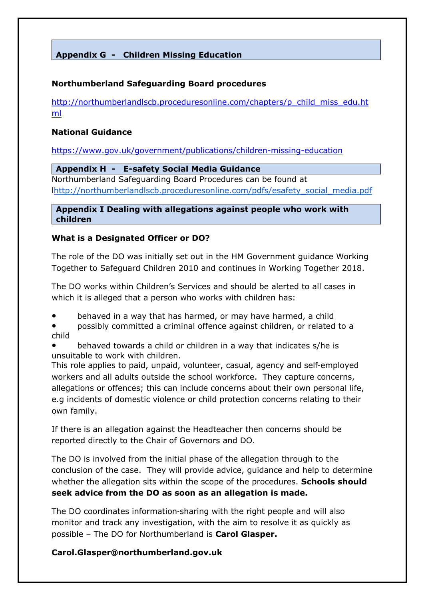## **Appendix G - Children Missing Education**

## **Northumberland Safeguarding Board procedures**

http://northumberlandlscb.proceduresonline.com/chapters/p\_child\_miss\_edu.ht ml

#### **National Guidance**

https://www.gov.uk/government/publications/children-missing-education

#### **Appendix H - E-safety Social Media Guidance**

Northumberland Safeguarding Board Procedures can be found at lhttp://northumberlandlscb.proceduresonline.com/pdfs/esafety\_social\_media.pdf

#### **Appendix I Dealing with allegations against people who work with children**

## **What is a Designated Officer or DO?**

The role of the DO was initially set out in the HM Government guidance Working Together to Safeguard Children 2010 and continues in Working Together 2018.

The DO works within Children's Services and should be alerted to all cases in which it is alleged that a person who works with children has:

- behaved in a way that has harmed, or may have harmed, a child
- possibly committed a criminal offence against children, or related to a child
- behaved towards a child or children in a way that indicates s/he is unsuitable to work with children.

This role applies to paid, unpaid, volunteer, casual, agency and self-employed workers and all adults outside the school workforce. They capture concerns, allegations or offences; this can include concerns about their own personal life, e.g incidents of domestic violence or child protection concerns relating to their own family.

If there is an allegation against the Headteacher then concerns should be reported directly to the Chair of Governors and DO.

The DO is involved from the initial phase of the allegation through to the conclusion of the case. They will provide advice, guidance and help to determine whether the allegation sits within the scope of the procedures. **Schools should seek advice from the DO as soon as an allegation is made.**

The DO coordinates information-sharing with the right people and will also monitor and track any investigation, with the aim to resolve it as quickly as possible – The DO for Northumberland is **Carol Glasper.**

## **Carol.Glasper@northumberland.gov.uk**